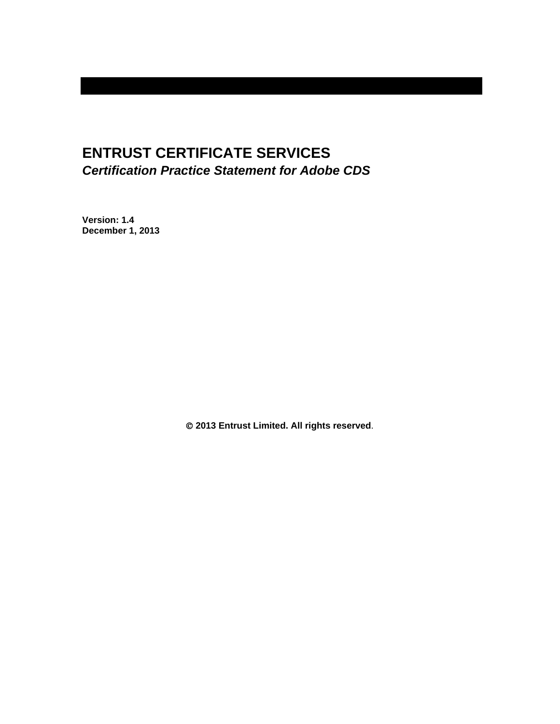# **ENTRUST CERTIFICATE SERVICES**  *Certification Practice Statement for Adobe CDS*

**Version: 1.4 December 1, 2013** 

 **2013 Entrust Limited. All rights reserved**.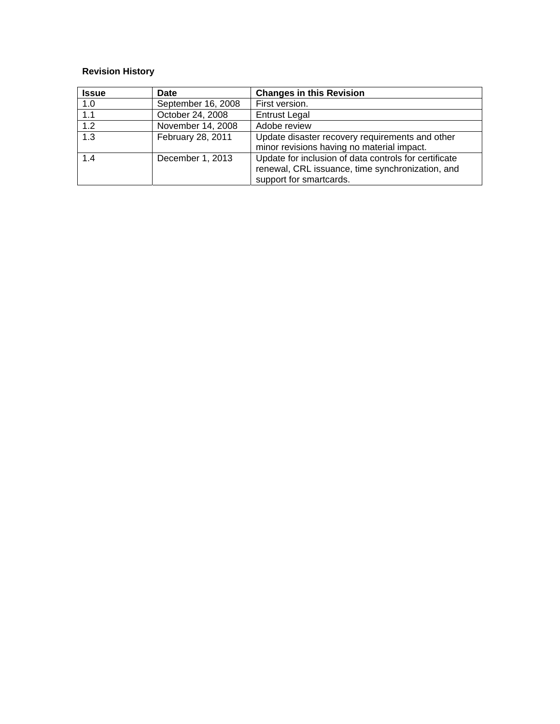# **Revision History**

| <b>Issue</b> | Date               | <b>Changes in this Revision</b>                                                                                                      |
|--------------|--------------------|--------------------------------------------------------------------------------------------------------------------------------------|
| 1.0          | September 16, 2008 | First version.                                                                                                                       |
| 1.1          | October 24, 2008   | <b>Entrust Legal</b>                                                                                                                 |
| 1.2          | November 14, 2008  | Adobe review                                                                                                                         |
| 1.3          | February 28, 2011  | Update disaster recovery requirements and other<br>minor revisions having no material impact.                                        |
| 1.4          | December 1, 2013   | Update for inclusion of data controls for certificate<br>renewal, CRL issuance, time synchronization, and<br>support for smartcards. |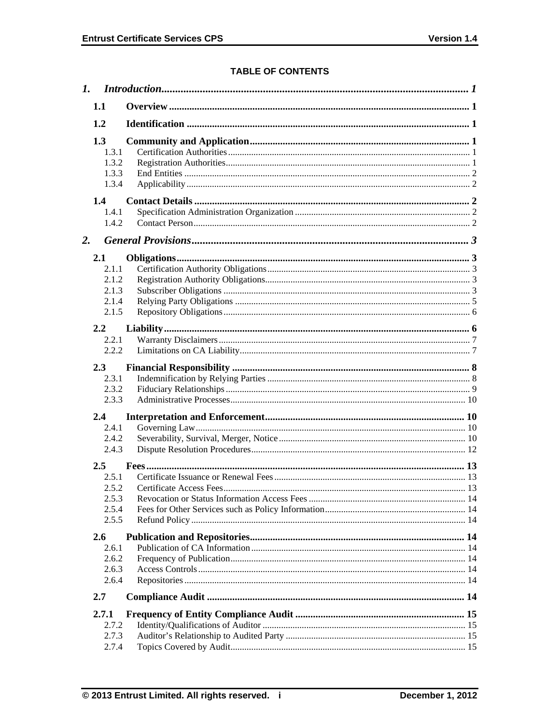# **TABLE OF CONTENTS**

| 1.1                                                  |  |
|------------------------------------------------------|--|
| 1.2                                                  |  |
| 1.3<br>1.3.1<br>1.3.2<br>1.3.3<br>1.3.4              |  |
| 1.4<br>1.4.1<br>1.4.2                                |  |
| 2.                                                   |  |
| 2.1<br>2.1.1<br>2.1.2<br>2.1.3<br>2.1.4<br>2.1.5     |  |
| 2.2<br>2.2.1<br>2.2.2                                |  |
| 2.3<br>2.3.1<br>2.3.2<br>2.3.3                       |  |
| 2.4                                                  |  |
| 2.4.1<br>2.4.2<br>2.4.3                              |  |
| $2.5\,$<br>2.5.1<br>2.5.2<br>2.5.3<br>2.5.4<br>2.5.5 |  |
| 2.6<br>2.6.1<br>2.6.2<br>2.6.3<br>2.6.4              |  |
| 2.7                                                  |  |
| 2.7.1<br>2.7.2<br>2.7.3<br>2.7.4                     |  |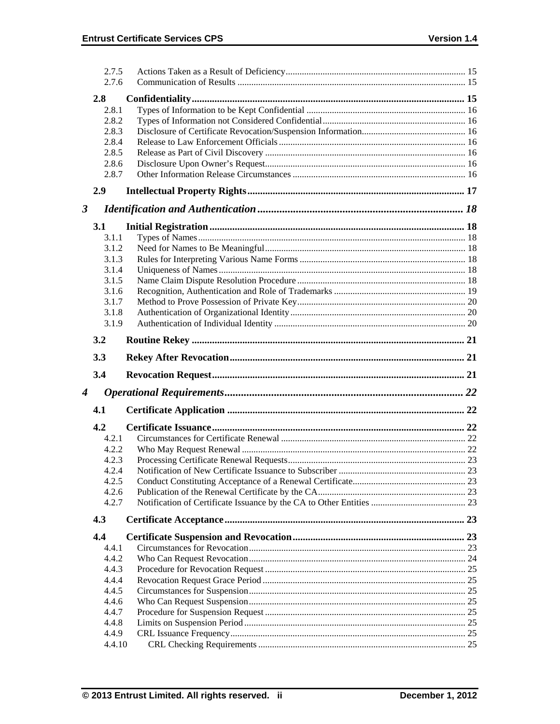|   | 2.7.5           |  |
|---|-----------------|--|
|   | 2.7.6           |  |
|   | 2.8             |  |
|   | 2.8.1           |  |
|   | 2.8.2           |  |
|   | 2.8.3           |  |
|   | 2.8.4           |  |
|   | 2.8.5           |  |
|   | 2.8.6           |  |
|   | 2.8.7           |  |
|   | 2.9             |  |
| 3 |                 |  |
|   | 3.1             |  |
|   | 3.1.1           |  |
|   | 3.1.2           |  |
|   | 3.1.3           |  |
|   | 3.1.4           |  |
|   | 3.1.5           |  |
|   | 3.1.6           |  |
|   | 3.1.7           |  |
|   | 3.1.8           |  |
|   | 3.1.9           |  |
|   | 3.2             |  |
|   |                 |  |
|   | 3.3             |  |
|   | 3.4             |  |
|   |                 |  |
|   |                 |  |
|   | 4.1             |  |
|   | 4.2             |  |
|   | 4.2.1           |  |
|   | 4.2.2           |  |
|   | 4.2.3           |  |
|   | 4.2.4           |  |
|   | 4.2.5           |  |
|   | 4.2.6           |  |
| 4 | 4.2.7           |  |
|   | 4.3             |  |
|   | 4.4             |  |
|   | 4.4.1           |  |
|   | 4.4.2           |  |
|   | 4.4.3           |  |
|   | 4.4.4           |  |
|   | 4.4.5           |  |
|   | 4.4.6           |  |
|   | 4.4.7           |  |
|   | 4.4.8           |  |
|   | 4.4.9<br>4.4.10 |  |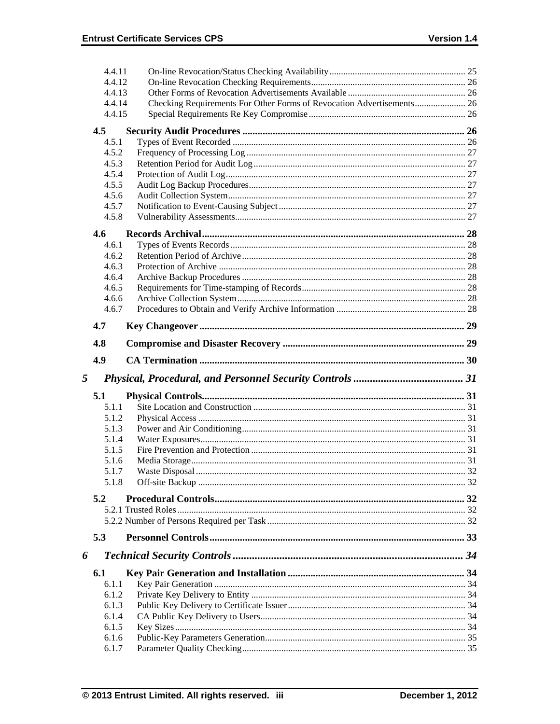|   | 4.4.11         |                                                                       |  |
|---|----------------|-----------------------------------------------------------------------|--|
|   | 4.4.12         |                                                                       |  |
|   | 4.4.13         |                                                                       |  |
|   | 4.4.14         | Checking Requirements For Other Forms of Revocation Advertisements 26 |  |
|   | 4.4.15         |                                                                       |  |
|   | 4.5            |                                                                       |  |
|   | 4.5.1          |                                                                       |  |
|   | 4.5.2          |                                                                       |  |
|   | 4.5.3          |                                                                       |  |
|   | 4.5.4          |                                                                       |  |
|   | 4.5.5          |                                                                       |  |
|   | 4.5.6          |                                                                       |  |
|   | 4.5.7          |                                                                       |  |
|   | 4.5.8          |                                                                       |  |
|   | 4.6            |                                                                       |  |
|   | 4.6.1          |                                                                       |  |
|   | 4.6.2          |                                                                       |  |
|   | 4.6.3          |                                                                       |  |
|   | 4.6.4          |                                                                       |  |
|   | 4.6.5          |                                                                       |  |
|   | 4.6.6          |                                                                       |  |
|   | 4.6.7          |                                                                       |  |
|   |                |                                                                       |  |
|   | 4.7            |                                                                       |  |
|   | 4.8            |                                                                       |  |
|   | 4.9            |                                                                       |  |
|   |                |                                                                       |  |
|   |                |                                                                       |  |
| 5 |                |                                                                       |  |
|   | 5.1            |                                                                       |  |
|   | 5.1.1          |                                                                       |  |
|   | 5.1.2          |                                                                       |  |
|   | 5.1.3          |                                                                       |  |
|   | 5.1.4          |                                                                       |  |
|   | 5.1.5          |                                                                       |  |
|   | 5.1.6          |                                                                       |  |
|   | 5.1.7          |                                                                       |  |
|   | 5.1.8          |                                                                       |  |
|   | 5.2            |                                                                       |  |
|   |                |                                                                       |  |
|   |                |                                                                       |  |
|   | 5.3            |                                                                       |  |
|   |                |                                                                       |  |
| 6 |                |                                                                       |  |
|   | 6.1            |                                                                       |  |
|   | 6.1.1          |                                                                       |  |
|   | 6.1.2          |                                                                       |  |
|   | 6.1.3          |                                                                       |  |
|   | 6.1.4          |                                                                       |  |
|   | 6.1.5          |                                                                       |  |
|   | 6.1.6<br>6.1.7 |                                                                       |  |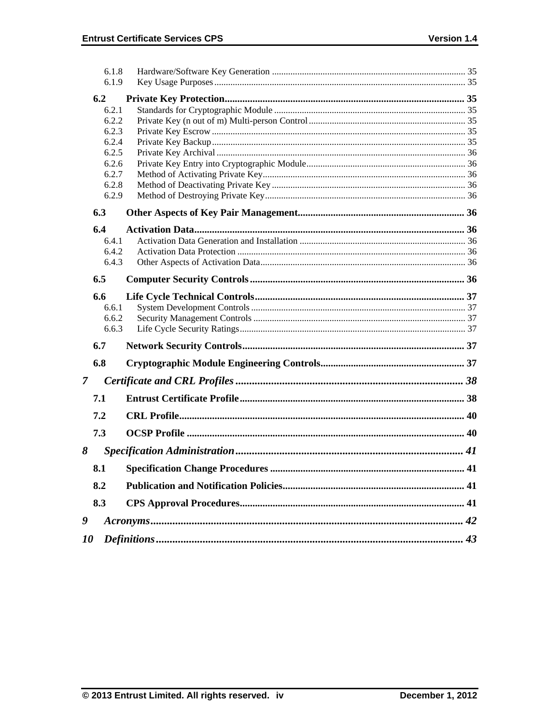|               | 6.1.8 |  |
|---------------|-------|--|
|               | 6.1.9 |  |
|               | 6.2   |  |
|               | 6.2.1 |  |
|               | 6.2.2 |  |
|               | 6.2.3 |  |
|               | 6.2.4 |  |
|               | 6.2.5 |  |
|               | 6.2.6 |  |
|               | 6.2.7 |  |
|               | 6.2.8 |  |
|               | 6.2.9 |  |
|               | 6.3   |  |
|               | 6.4   |  |
|               | 6.4.1 |  |
|               | 6.4.2 |  |
|               | 6.4.3 |  |
|               | 6.5   |  |
|               | 6.6   |  |
|               | 6.6.1 |  |
|               | 6.6.2 |  |
|               | 6.6.3 |  |
|               | 6.7   |  |
|               | 6.8   |  |
| $\mathcal{I}$ |       |  |
|               |       |  |
|               | 7.1   |  |
|               | 7.2   |  |
|               | 7.3   |  |
| 8             |       |  |
|               | 8.1   |  |
|               | 8.2   |  |
|               | 8.3   |  |
| 9             |       |  |
| 10            |       |  |
|               |       |  |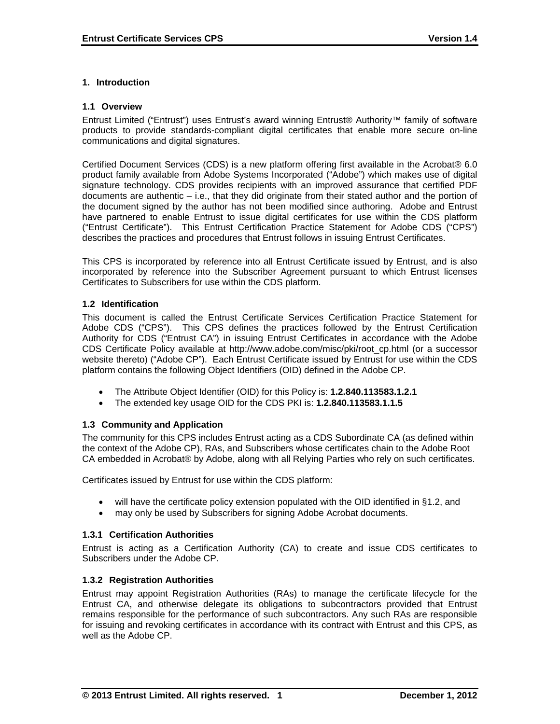# **1. Introduction**

#### **1.1 Overview**

Entrust Limited ("Entrust") uses Entrust's award winning Entrust® Authority™ family of software products to provide standards-compliant digital certificates that enable more secure on-line communications and digital signatures.

Certified Document Services (CDS) is a new platform offering first available in the Acrobat® 6.0 product family available from Adobe Systems Incorporated ("Adobe") which makes use of digital signature technology. CDS provides recipients with an improved assurance that certified PDF documents are authentic – i.e., that they did originate from their stated author and the portion of the document signed by the author has not been modified since authoring. Adobe and Entrust have partnered to enable Entrust to issue digital certificates for use within the CDS platform ("Entrust Certificate"). This Entrust Certification Practice Statement for Adobe CDS ("CPS") describes the practices and procedures that Entrust follows in issuing Entrust Certificates.

This CPS is incorporated by reference into all Entrust Certificate issued by Entrust, and is also incorporated by reference into the Subscriber Agreement pursuant to which Entrust licenses Certificates to Subscribers for use within the CDS platform.

#### **1.2 Identification**

This document is called the Entrust Certificate Services Certification Practice Statement for Adobe CDS ("CPS"). This CPS defines the practices followed by the Entrust Certification Authority for CDS ("Entrust CA") in issuing Entrust Certificates in accordance with the Adobe CDS Certificate Policy available at http://www.adobe.com/misc/pki/root\_cp.html (or a successor website thereto) ("Adobe CP"). Each Entrust Certificate issued by Entrust for use within the CDS platform contains the following Object Identifiers (OID) defined in the Adobe CP.

- The Attribute Object Identifier (OID) for this Policy is: **1.2.840.113583.1.2.1**
- The extended key usage OID for the CDS PKI is: **1.2.840.113583.1.1.5**

# **1.3 Community and Application**

The community for this CPS includes Entrust acting as a CDS Subordinate CA (as defined within the context of the Adobe CP), RAs, and Subscribers whose certificates chain to the Adobe Root CA embedded in Acrobat® by Adobe, along with all Relying Parties who rely on such certificates.

Certificates issued by Entrust for use within the CDS platform:

- will have the certificate policy extension populated with the OID identified in §1.2, and
- may only be used by Subscribers for signing Adobe Acrobat documents.

# **1.3.1 Certification Authorities**

Entrust is acting as a Certification Authority (CA) to create and issue CDS certificates to Subscribers under the Adobe CP.

#### **1.3.2 Registration Authorities**

Entrust may appoint Registration Authorities (RAs) to manage the certificate lifecycle for the Entrust CA, and otherwise delegate its obligations to subcontractors provided that Entrust remains responsible for the performance of such subcontractors. Any such RAs are responsible for issuing and revoking certificates in accordance with its contract with Entrust and this CPS, as well as the Adobe CP.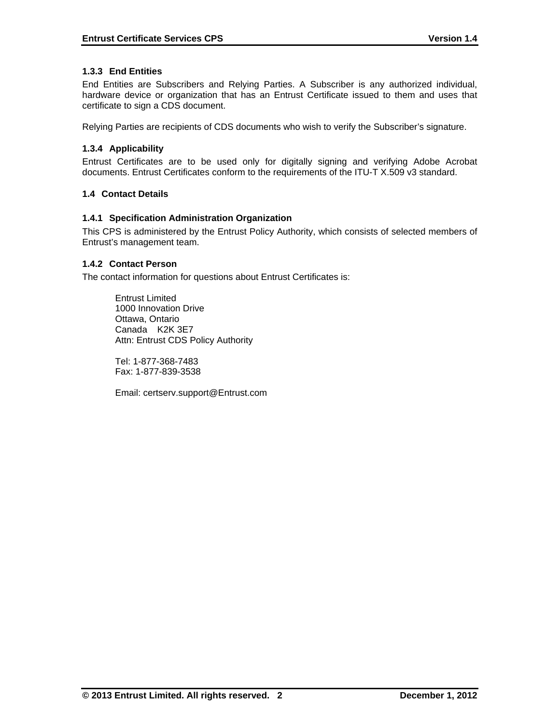# **1.3.3 End Entities**

End Entities are Subscribers and Relying Parties. A Subscriber is any authorized individual, hardware device or organization that has an Entrust Certificate issued to them and uses that certificate to sign a CDS document.

Relying Parties are recipients of CDS documents who wish to verify the Subscriber's signature.

# **1.3.4 Applicability**

Entrust Certificates are to be used only for digitally signing and verifying Adobe Acrobat documents. Entrust Certificates conform to the requirements of the ITU-T X.509 v3 standard.

# **1.4 Contact Details**

# **1.4.1 Specification Administration Organization**

This CPS is administered by the Entrust Policy Authority, which consists of selected members of Entrust's management team.

# **1.4.2 Contact Person**

The contact information for questions about Entrust Certificates is:

 Entrust Limited 1000 Innovation Drive Ottawa, Ontario Canada K2K 3E7 Attn: Entrust CDS Policy Authority

 Tel: 1-877-368-7483 Fax: 1-877-839-3538

Email: certserv.support@Entrust.com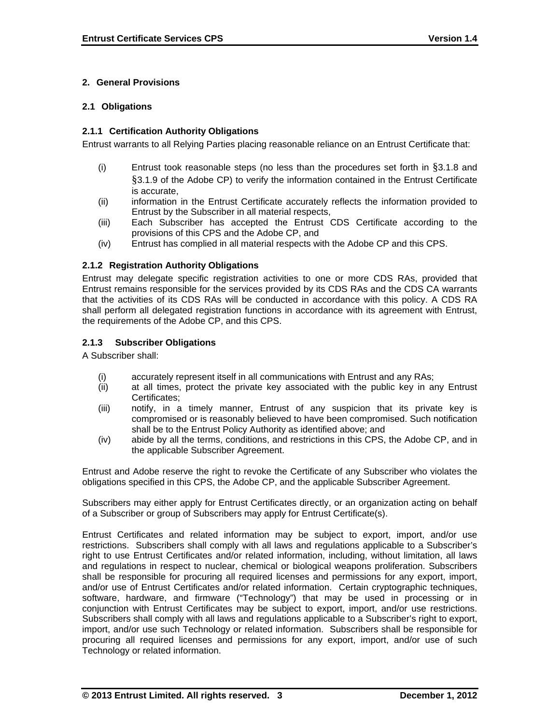# **2. General Provisions**

# **2.1 Obligations**

# **2.1.1 Certification Authority Obligations**

Entrust warrants to all Relying Parties placing reasonable reliance on an Entrust Certificate that:

- (i) Entrust took reasonable steps (no less than the procedures set forth in §3.1.8 and §3.1.9 of the Adobe CP) to verify the information contained in the Entrust Certificate is accurate,
- (ii) information in the Entrust Certificate accurately reflects the information provided to Entrust by the Subscriber in all material respects,
- (iii) Each Subscriber has accepted the Entrust CDS Certificate according to the provisions of this CPS and the Adobe CP, and
- (iv) Entrust has complied in all material respects with the Adobe CP and this CPS.

#### **2.1.2 Registration Authority Obligations**

Entrust may delegate specific registration activities to one or more CDS RAs, provided that Entrust remains responsible for the services provided by its CDS RAs and the CDS CA warrants that the activities of its CDS RAs will be conducted in accordance with this policy. A CDS RA shall perform all delegated registration functions in accordance with its agreement with Entrust, the requirements of the Adobe CP, and this CPS.

# **2.1.3 Subscriber Obligations**

A Subscriber shall:

- (i) accurately represent itself in all communications with Entrust and any RAs;
- (ii) at all times, protect the private key associated with the public key in any Entrust Certificates;
- (iii) notify, in a timely manner, Entrust of any suspicion that its private key is compromised or is reasonably believed to have been compromised. Such notification shall be to the Entrust Policy Authority as identified above; and
- (iv) abide by all the terms, conditions, and restrictions in this CPS, the Adobe CP, and in the applicable Subscriber Agreement.

Entrust and Adobe reserve the right to revoke the Certificate of any Subscriber who violates the obligations specified in this CPS, the Adobe CP, and the applicable Subscriber Agreement.

Subscribers may either apply for Entrust Certificates directly, or an organization acting on behalf of a Subscriber or group of Subscribers may apply for Entrust Certificate(s).

Entrust Certificates and related information may be subject to export, import, and/or use restrictions. Subscribers shall comply with all laws and regulations applicable to a Subscriber's right to use Entrust Certificates and/or related information, including, without limitation, all laws and regulations in respect to nuclear, chemical or biological weapons proliferation. Subscribers shall be responsible for procuring all required licenses and permissions for any export, import, and/or use of Entrust Certificates and/or related information. Certain cryptographic techniques, software, hardware, and firmware ("Technology") that may be used in processing or in conjunction with Entrust Certificates may be subject to export, import, and/or use restrictions. Subscribers shall comply with all laws and regulations applicable to a Subscriber's right to export, import, and/or use such Technology or related information. Subscribers shall be responsible for procuring all required licenses and permissions for any export, import, and/or use of such Technology or related information.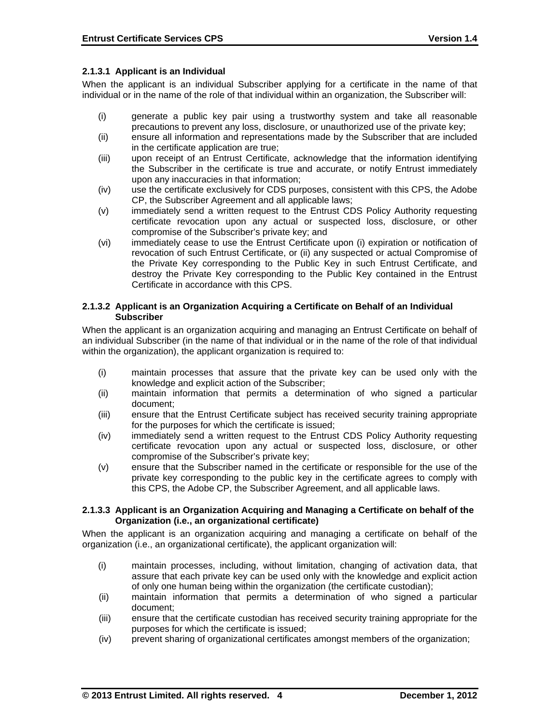# **2.1.3.1 Applicant is an Individual**

When the applicant is an individual Subscriber applying for a certificate in the name of that individual or in the name of the role of that individual within an organization, the Subscriber will:

- (i) generate a public key pair using a trustworthy system and take all reasonable precautions to prevent any loss, disclosure, or unauthorized use of the private key;
- (ii) ensure all information and representations made by the Subscriber that are included in the certificate application are true;
- (iii) upon receipt of an Entrust Certificate, acknowledge that the information identifying the Subscriber in the certificate is true and accurate, or notify Entrust immediately upon any inaccuracies in that information;
- (iv) use the certificate exclusively for CDS purposes, consistent with this CPS, the Adobe CP, the Subscriber Agreement and all applicable laws;
- (v) immediately send a written request to the Entrust CDS Policy Authority requesting certificate revocation upon any actual or suspected loss, disclosure, or other compromise of the Subscriber's private key; and
- (vi) immediately cease to use the Entrust Certificate upon (i) expiration or notification of revocation of such Entrust Certificate, or (ii) any suspected or actual Compromise of the Private Key corresponding to the Public Key in such Entrust Certificate, and destroy the Private Key corresponding to the Public Key contained in the Entrust Certificate in accordance with this CPS.

#### **2.1.3.2 Applicant is an Organization Acquiring a Certificate on Behalf of an Individual Subscriber**

When the applicant is an organization acquiring and managing an Entrust Certificate on behalf of an individual Subscriber (in the name of that individual or in the name of the role of that individual within the organization), the applicant organization is required to:

- (i) maintain processes that assure that the private key can be used only with the knowledge and explicit action of the Subscriber;
- (ii) maintain information that permits a determination of who signed a particular document;
- (iii) ensure that the Entrust Certificate subject has received security training appropriate for the purposes for which the certificate is issued;
- (iv) immediately send a written request to the Entrust CDS Policy Authority requesting certificate revocation upon any actual or suspected loss, disclosure, or other compromise of the Subscriber's private key;
- (v) ensure that the Subscriber named in the certificate or responsible for the use of the private key corresponding to the public key in the certificate agrees to comply with this CPS, the Adobe CP, the Subscriber Agreement, and all applicable laws.

#### **2.1.3.3 Applicant is an Organization Acquiring and Managing a Certificate on behalf of the Organization (i.e., an organizational certificate)**

When the applicant is an organization acquiring and managing a certificate on behalf of the organization (i.e., an organizational certificate), the applicant organization will:

- (i) maintain processes, including, without limitation, changing of activation data, that assure that each private key can be used only with the knowledge and explicit action of only one human being within the organization (the certificate custodian);
- (ii) maintain information that permits a determination of who signed a particular document;
- (iii) ensure that the certificate custodian has received security training appropriate for the purposes for which the certificate is issued;
- (iv) prevent sharing of organizational certificates amongst members of the organization;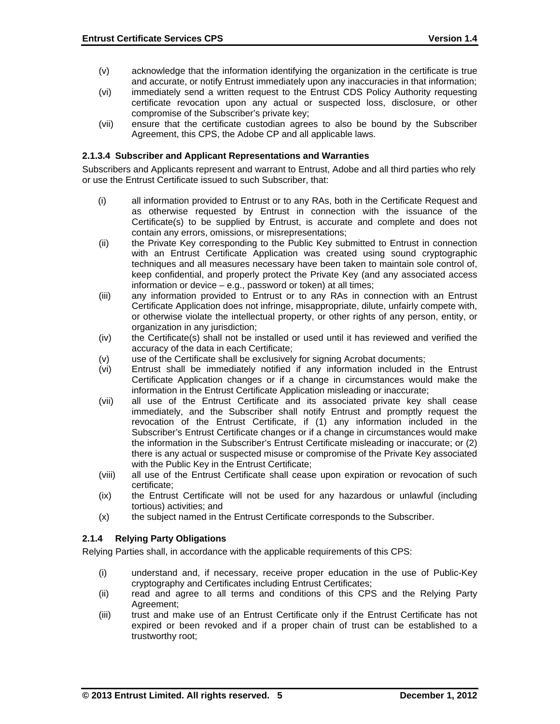- (v) acknowledge that the information identifying the organization in the certificate is true and accurate, or notify Entrust immediately upon any inaccuracies in that information;
- (vi) immediately send a written request to the Entrust CDS Policy Authority requesting certificate revocation upon any actual or suspected loss, disclosure, or other compromise of the Subscriber's private key;
- (vii) ensure that the certificate custodian agrees to also be bound by the Subscriber Agreement, this CPS, the Adobe CP and all applicable laws.

#### **2.1.3.4 Subscriber and Applicant Representations and Warranties**

Subscribers and Applicants represent and warrant to Entrust, Adobe and all third parties who rely or use the Entrust Certificate issued to such Subscriber, that:

- (i) all information provided to Entrust or to any RAs, both in the Certificate Request and as otherwise requested by Entrust in connection with the issuance of the Certificate(s) to be supplied by Entrust, is accurate and complete and does not contain any errors, omissions, or misrepresentations;
- (ii) the Private Key corresponding to the Public Key submitted to Entrust in connection with an Entrust Certificate Application was created using sound cryptographic techniques and all measures necessary have been taken to maintain sole control of, keep confidential, and properly protect the Private Key (and any associated access information or device – e.g., password or token) at all times;
- (iii) any information provided to Entrust or to any RAs in connection with an Entrust Certificate Application does not infringe, misappropriate, dilute, unfairly compete with, or otherwise violate the intellectual property, or other rights of any person, entity, or organization in any jurisdiction;
- (iv) the Certificate(s) shall not be installed or used until it has reviewed and verified the accuracy of the data in each Certificate;
- (v) use of the Certificate shall be exclusively for signing Acrobat documents;
- (vi) Entrust shall be immediately notified if any information included in the Entrust Certificate Application changes or if a change in circumstances would make the information in the Entrust Certificate Application misleading or inaccurate;
- (vii) all use of the Entrust Certificate and its associated private key shall cease immediately, and the Subscriber shall notify Entrust and promptly request the revocation of the Entrust Certificate, if (1) any information included in the Subscriber's Entrust Certificate changes or if a change in circumstances would make the information in the Subscriber's Entrust Certificate misleading or inaccurate; or (2) there is any actual or suspected misuse or compromise of the Private Key associated with the Public Key in the Entrust Certificate;
- (viii) all use of the Entrust Certificate shall cease upon expiration or revocation of such certificate;
- (ix) the Entrust Certificate will not be used for any hazardous or unlawful (including tortious) activities; and
- (x) the subject named in the Entrust Certificate corresponds to the Subscriber.

# **2.1.4 Relying Party Obligations**

Relying Parties shall, in accordance with the applicable requirements of this CPS:

- (i) understand and, if necessary, receive proper education in the use of Public-Key cryptography and Certificates including Entrust Certificates;
- (ii) read and agree to all terms and conditions of this CPS and the Relying Party Agreement;
- (iii) trust and make use of an Entrust Certificate only if the Entrust Certificate has not expired or been revoked and if a proper chain of trust can be established to a trustworthy root;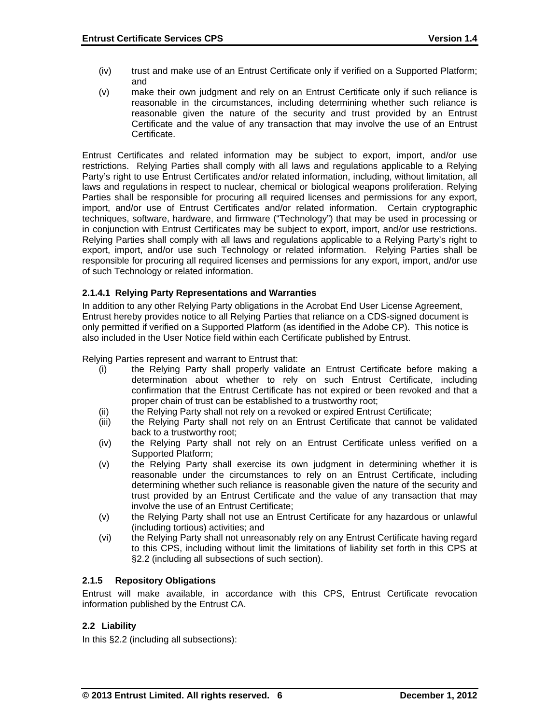- (iv) trust and make use of an Entrust Certificate only if verified on a Supported Platform; and
- (v) make their own judgment and rely on an Entrust Certificate only if such reliance is reasonable in the circumstances, including determining whether such reliance is reasonable given the nature of the security and trust provided by an Entrust Certificate and the value of any transaction that may involve the use of an Entrust Certificate.

Entrust Certificates and related information may be subject to export, import, and/or use restrictions. Relying Parties shall comply with all laws and regulations applicable to a Relying Party's right to use Entrust Certificates and/or related information, including, without limitation, all laws and regulations in respect to nuclear, chemical or biological weapons proliferation. Relying Parties shall be responsible for procuring all required licenses and permissions for any export, import, and/or use of Entrust Certificates and/or related information. Certain cryptographic techniques, software, hardware, and firmware ("Technology") that may be used in processing or in conjunction with Entrust Certificates may be subject to export, import, and/or use restrictions. Relying Parties shall comply with all laws and regulations applicable to a Relying Party's right to export, import, and/or use such Technology or related information. Relying Parties shall be responsible for procuring all required licenses and permissions for any export, import, and/or use of such Technology or related information.

# **2.1.4.1 Relying Party Representations and Warranties**

In addition to any other Relying Party obligations in the Acrobat End User License Agreement, Entrust hereby provides notice to all Relying Parties that reliance on a CDS-signed document is only permitted if verified on a Supported Platform (as identified in the Adobe CP). This notice is also included in the User Notice field within each Certificate published by Entrust.

Relying Parties represent and warrant to Entrust that:

- (i) the Relying Party shall properly validate an Entrust Certificate before making a determination about whether to rely on such Entrust Certificate, including confirmation that the Entrust Certificate has not expired or been revoked and that a proper chain of trust can be established to a trustworthy root;
- (ii) the Relying Party shall not rely on a revoked or expired Entrust Certificate;
- (iii) the Relying Party shall not rely on an Entrust Certificate that cannot be validated back to a trustworthy root;
- (iv) the Relying Party shall not rely on an Entrust Certificate unless verified on a Supported Platform;
- (v) the Relying Party shall exercise its own judgment in determining whether it is reasonable under the circumstances to rely on an Entrust Certificate, including determining whether such reliance is reasonable given the nature of the security and trust provided by an Entrust Certificate and the value of any transaction that may involve the use of an Entrust Certificate;
- (v) the Relying Party shall not use an Entrust Certificate for any hazardous or unlawful (including tortious) activities; and
- (vi) the Relying Party shall not unreasonably rely on any Entrust Certificate having regard to this CPS, including without limit the limitations of liability set forth in this CPS at §2.2 (including all subsections of such section).

# **2.1.5 Repository Obligations**

Entrust will make available, in accordance with this CPS, Entrust Certificate revocation information published by the Entrust CA.

# **2.2 Liability**

In this §2.2 (including all subsections):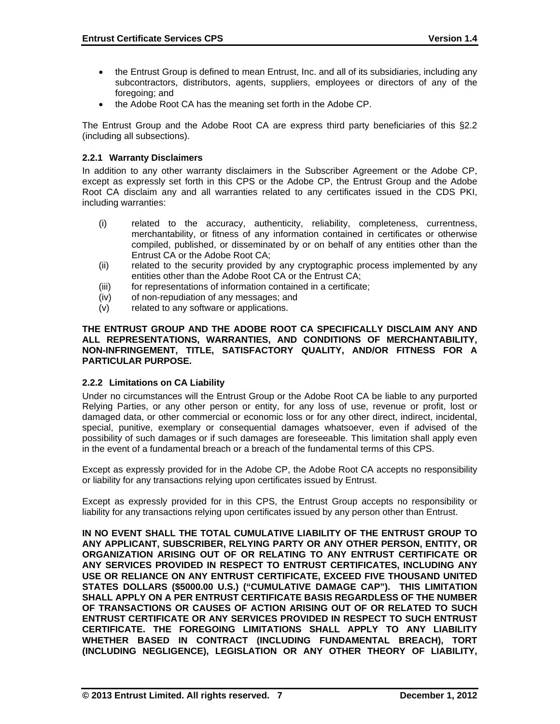- the Entrust Group is defined to mean Entrust, Inc. and all of its subsidiaries, including any subcontractors, distributors, agents, suppliers, employees or directors of any of the foregoing; and
- the Adobe Root CA has the meaning set forth in the Adobe CP.

The Entrust Group and the Adobe Root CA are express third party beneficiaries of this §2.2 (including all subsections).

# **2.2.1 Warranty Disclaimers**

In addition to any other warranty disclaimers in the Subscriber Agreement or the Adobe CP, except as expressly set forth in this CPS or the Adobe CP, the Entrust Group and the Adobe Root CA disclaim any and all warranties related to any certificates issued in the CDS PKI, including warranties:

- (i) related to the accuracy, authenticity, reliability, completeness, currentness, merchantability, or fitness of any information contained in certificates or otherwise compiled, published, or disseminated by or on behalf of any entities other than the Entrust CA or the Adobe Root CA;
- (ii) related to the security provided by any cryptographic process implemented by any entities other than the Adobe Root CA or the Entrust CA;
- (iii) for representations of information contained in a certificate;
- (iv) of non-repudiation of any messages; and
- (v) related to any software or applications.

#### **THE ENTRUST GROUP AND THE ADOBE ROOT CA SPECIFICALLY DISCLAIM ANY AND ALL REPRESENTATIONS, WARRANTIES, AND CONDITIONS OF MERCHANTABILITY, NON-INFRINGEMENT, TITLE, SATISFACTORY QUALITY, AND/OR FITNESS FOR A PARTICULAR PURPOSE.**

# **2.2.2 Limitations on CA Liability**

Under no circumstances will the Entrust Group or the Adobe Root CA be liable to any purported Relying Parties, or any other person or entity, for any loss of use, revenue or profit, lost or damaged data, or other commercial or economic loss or for any other direct, indirect, incidental, special, punitive, exemplary or consequential damages whatsoever, even if advised of the possibility of such damages or if such damages are foreseeable. This limitation shall apply even in the event of a fundamental breach or a breach of the fundamental terms of this CPS.

Except as expressly provided for in the Adobe CP, the Adobe Root CA accepts no responsibility or liability for any transactions relying upon certificates issued by Entrust.

Except as expressly provided for in this CPS, the Entrust Group accepts no responsibility or liability for any transactions relying upon certificates issued by any person other than Entrust.

**IN NO EVENT SHALL THE TOTAL CUMULATIVE LIABILITY OF THE ENTRUST GROUP TO ANY APPLICANT, SUBSCRIBER, RELYING PARTY OR ANY OTHER PERSON, ENTITY, OR ORGANIZATION ARISING OUT OF OR RELATING TO ANY ENTRUST CERTIFICATE OR ANY SERVICES PROVIDED IN RESPECT TO ENTRUST CERTIFICATES, INCLUDING ANY USE OR RELIANCE ON ANY ENTRUST CERTIFICATE, EXCEED FIVE THOUSAND UNITED STATES DOLLARS (\$5000.00 U.S.) ("CUMULATIVE DAMAGE CAP"). THIS LIMITATION SHALL APPLY ON A PER ENTRUST CERTIFICATE BASIS REGARDLESS OF THE NUMBER OF TRANSACTIONS OR CAUSES OF ACTION ARISING OUT OF OR RELATED TO SUCH ENTRUST CERTIFICATE OR ANY SERVICES PROVIDED IN RESPECT TO SUCH ENTRUST CERTIFICATE. THE FOREGOING LIMITATIONS SHALL APPLY TO ANY LIABILITY WHETHER BASED IN CONTRACT (INCLUDING FUNDAMENTAL BREACH), TORT (INCLUDING NEGLIGENCE), LEGISLATION OR ANY OTHER THEORY OF LIABILITY,**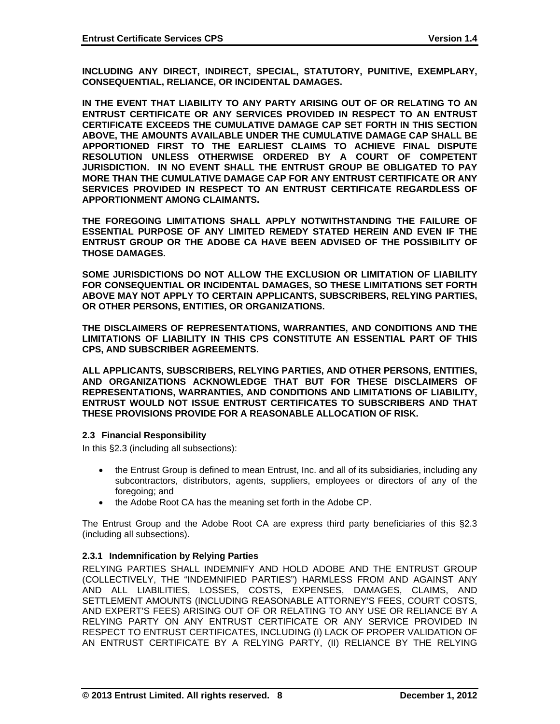**INCLUDING ANY DIRECT, INDIRECT, SPECIAL, STATUTORY, PUNITIVE, EXEMPLARY, CONSEQUENTIAL, RELIANCE, OR INCIDENTAL DAMAGES.** 

**IN THE EVENT THAT LIABILITY TO ANY PARTY ARISING OUT OF OR RELATING TO AN ENTRUST CERTIFICATE OR ANY SERVICES PROVIDED IN RESPECT TO AN ENTRUST CERTIFICATE EXCEEDS THE CUMULATIVE DAMAGE CAP SET FORTH IN THIS SECTION ABOVE, THE AMOUNTS AVAILABLE UNDER THE CUMULATIVE DAMAGE CAP SHALL BE APPORTIONED FIRST TO THE EARLIEST CLAIMS TO ACHIEVE FINAL DISPUTE RESOLUTION UNLESS OTHERWISE ORDERED BY A COURT OF COMPETENT JURISDICTION. IN NO EVENT SHALL THE ENTRUST GROUP BE OBLIGATED TO PAY MORE THAN THE CUMULATIVE DAMAGE CAP FOR ANY ENTRUST CERTIFICATE OR ANY SERVICES PROVIDED IN RESPECT TO AN ENTRUST CERTIFICATE REGARDLESS OF APPORTIONMENT AMONG CLAIMANTS.** 

**THE FOREGOING LIMITATIONS SHALL APPLY NOTWITHSTANDING THE FAILURE OF ESSENTIAL PURPOSE OF ANY LIMITED REMEDY STATED HEREIN AND EVEN IF THE ENTRUST GROUP OR THE ADOBE CA HAVE BEEN ADVISED OF THE POSSIBILITY OF THOSE DAMAGES.** 

**SOME JURISDICTIONS DO NOT ALLOW THE EXCLUSION OR LIMITATION OF LIABILITY FOR CONSEQUENTIAL OR INCIDENTAL DAMAGES, SO THESE LIMITATIONS SET FORTH ABOVE MAY NOT APPLY TO CERTAIN APPLICANTS, SUBSCRIBERS, RELYING PARTIES, OR OTHER PERSONS, ENTITIES, OR ORGANIZATIONS.** 

**THE DISCLAIMERS OF REPRESENTATIONS, WARRANTIES, AND CONDITIONS AND THE LIMITATIONS OF LIABILITY IN THIS CPS CONSTITUTE AN ESSENTIAL PART OF THIS CPS, AND SUBSCRIBER AGREEMENTS.** 

**ALL APPLICANTS, SUBSCRIBERS, RELYING PARTIES, AND OTHER PERSONS, ENTITIES, AND ORGANIZATIONS ACKNOWLEDGE THAT BUT FOR THESE DISCLAIMERS OF REPRESENTATIONS, WARRANTIES, AND CONDITIONS AND LIMITATIONS OF LIABILITY, ENTRUST WOULD NOT ISSUE ENTRUST CERTIFICATES TO SUBSCRIBERS AND THAT THESE PROVISIONS PROVIDE FOR A REASONABLE ALLOCATION OF RISK.** 

#### **2.3 Financial Responsibility**

In this §2.3 (including all subsections):

- the Entrust Group is defined to mean Entrust, Inc. and all of its subsidiaries, including any subcontractors, distributors, agents, suppliers, employees or directors of any of the foregoing; and
- the Adobe Root CA has the meaning set forth in the Adobe CP.

The Entrust Group and the Adobe Root CA are express third party beneficiaries of this §2.3 (including all subsections).

# **2.3.1 Indemnification by Relying Parties**

RELYING PARTIES SHALL INDEMNIFY AND HOLD ADOBE AND THE ENTRUST GROUP (COLLECTIVELY, THE "INDEMNIFIED PARTIES") HARMLESS FROM AND AGAINST ANY AND ALL LIABILITIES, LOSSES, COSTS, EXPENSES, DAMAGES, CLAIMS, AND SETTLEMENT AMOUNTS (INCLUDING REASONABLE ATTORNEY'S FEES, COURT COSTS, AND EXPERT'S FEES) ARISING OUT OF OR RELATING TO ANY USE OR RELIANCE BY A RELYING PARTY ON ANY ENTRUST CERTIFICATE OR ANY SERVICE PROVIDED IN RESPECT TO ENTRUST CERTIFICATES, INCLUDING (I) LACK OF PROPER VALIDATION OF AN ENTRUST CERTIFICATE BY A RELYING PARTY, (II) RELIANCE BY THE RELYING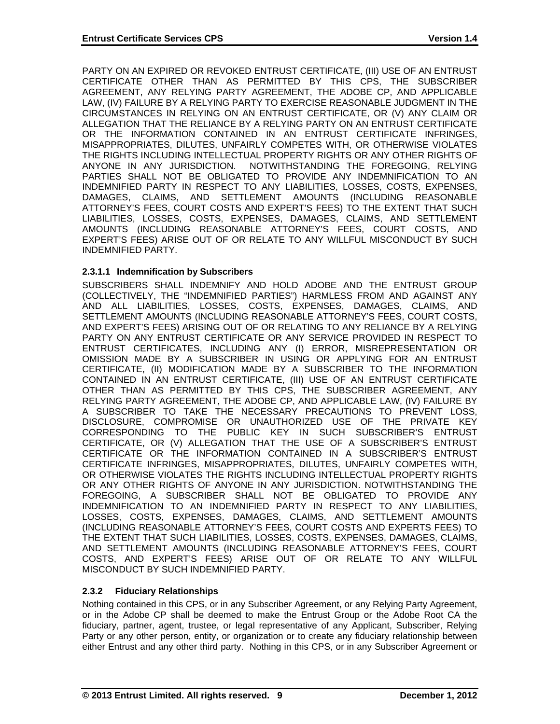PARTY ON AN EXPIRED OR REVOKED ENTRUST CERTIFICATE, (III) USE OF AN ENTRUST CERTIFICATE OTHER THAN AS PERMITTED BY THIS CPS, THE SUBSCRIBER AGREEMENT, ANY RELYING PARTY AGREEMENT, THE ADOBE CP, AND APPLICABLE LAW, (IV) FAILURE BY A RELYING PARTY TO EXERCISE REASONABLE JUDGMENT IN THE CIRCUMSTANCES IN RELYING ON AN ENTRUST CERTIFICATE, OR (V) ANY CLAIM OR ALLEGATION THAT THE RELIANCE BY A RELYING PARTY ON AN ENTRUST CERTIFICATE OR THE INFORMATION CONTAINED IN AN ENTRUST CERTIFICATE INFRINGES, MISAPPROPRIATES, DILUTES, UNFAIRLY COMPETES WITH, OR OTHERWISE VIOLATES THE RIGHTS INCLUDING INTELLECTUAL PROPERTY RIGHTS OR ANY OTHER RIGHTS OF ANYONE IN ANY JURISDICTION. NOTWITHSTANDING THE FOREGOING, RELYING PARTIES SHALL NOT BE OBLIGATED TO PROVIDE ANY INDEMNIFICATION TO AN INDEMNIFIED PARTY IN RESPECT TO ANY LIABILITIES, LOSSES, COSTS, EXPENSES, DAMAGES, CLAIMS, AND SETTLEMENT AMOUNTS (INCLUDING REASONABLE ATTORNEY'S FEES, COURT COSTS AND EXPERT'S FEES) TO THE EXTENT THAT SUCH LIABILITIES, LOSSES, COSTS, EXPENSES, DAMAGES, CLAIMS, AND SETTLEMENT AMOUNTS (INCLUDING REASONABLE ATTORNEY'S FEES, COURT COSTS, AND EXPERT'S FEES) ARISE OUT OF OR RELATE TO ANY WILLFUL MISCONDUCT BY SUCH INDEMNIFIED PARTY.

# **2.3.1.1 Indemnification by Subscribers**

SUBSCRIBERS SHALL INDEMNIFY AND HOLD ADOBE AND THE ENTRUST GROUP (COLLECTIVELY, THE "INDEMNIFIED PARTIES") HARMLESS FROM AND AGAINST ANY AND ALL LIABILITIES, LOSSES, COSTS, EXPENSES, DAMAGES, CLAIMS, AND SETTLEMENT AMOUNTS (INCLUDING REASONABLE ATTORNEY'S FEES, COURT COSTS, AND EXPERT'S FEES) ARISING OUT OF OR RELATING TO ANY RELIANCE BY A RELYING PARTY ON ANY ENTRUST CERTIFICATE OR ANY SERVICE PROVIDED IN RESPECT TO ENTRUST CERTIFICATES, INCLUDING ANY (I) ERROR, MISREPRESENTATION OR OMISSION MADE BY A SUBSCRIBER IN USING OR APPLYING FOR AN ENTRUST CERTIFICATE, (II) MODIFICATION MADE BY A SUBSCRIBER TO THE INFORMATION CONTAINED IN AN ENTRUST CERTIFICATE, (III) USE OF AN ENTRUST CERTIFICATE OTHER THAN AS PERMITTED BY THIS CPS, THE SUBSCRIBER AGREEMENT, ANY RELYING PARTY AGREEMENT, THE ADOBE CP, AND APPLICABLE LAW, (IV) FAILURE BY A SUBSCRIBER TO TAKE THE NECESSARY PRECAUTIONS TO PREVENT LOSS, DISCLOSURE, COMPROMISE OR UNAUTHORIZED USE OF THE PRIVATE KEY CORRESPONDING TO THE PUBLIC KEY IN SUCH SUBSCRIBER'S ENTRUST CERTIFICATE, OR (V) ALLEGATION THAT THE USE OF A SUBSCRIBER'S ENTRUST CERTIFICATE OR THE INFORMATION CONTAINED IN A SUBSCRIBER'S ENTRUST CERTIFICATE INFRINGES, MISAPPROPRIATES, DILUTES, UNFAIRLY COMPETES WITH, OR OTHERWISE VIOLATES THE RIGHTS INCLUDING INTELLECTUAL PROPERTY RIGHTS OR ANY OTHER RIGHTS OF ANYONE IN ANY JURISDICTION. NOTWITHSTANDING THE FOREGOING, A SUBSCRIBER SHALL NOT BE OBLIGATED TO PROVIDE ANY INDEMNIFICATION TO AN INDEMNIFIED PARTY IN RESPECT TO ANY LIABILITIES, LOSSES, COSTS, EXPENSES, DAMAGES, CLAIMS, AND SETTLEMENT AMOUNTS (INCLUDING REASONABLE ATTORNEY'S FEES, COURT COSTS AND EXPERTS FEES) TO THE EXTENT THAT SUCH LIABILITIES, LOSSES, COSTS, EXPENSES, DAMAGES, CLAIMS, AND SETTLEMENT AMOUNTS (INCLUDING REASONABLE ATTORNEY'S FEES, COURT COSTS, AND EXPERT'S FEES) ARISE OUT OF OR RELATE TO ANY WILLFUL MISCONDUCT BY SUCH INDEMNIFIED PARTY.

# **2.3.2 Fiduciary Relationships**

Nothing contained in this CPS, or in any Subscriber Agreement, or any Relying Party Agreement, or in the Adobe CP shall be deemed to make the Entrust Group or the Adobe Root CA the fiduciary, partner, agent, trustee, or legal representative of any Applicant, Subscriber, Relying Party or any other person, entity, or organization or to create any fiduciary relationship between either Entrust and any other third party. Nothing in this CPS, or in any Subscriber Agreement or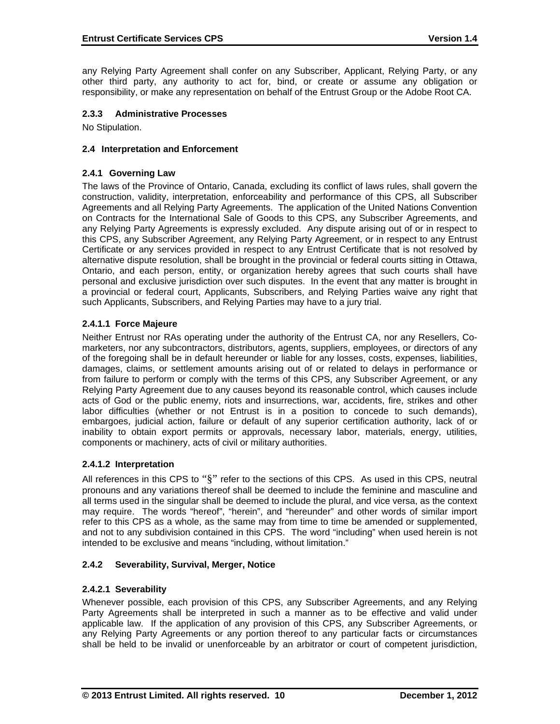any Relying Party Agreement shall confer on any Subscriber, Applicant, Relying Party, or any other third party, any authority to act for, bind, or create or assume any obligation or responsibility, or make any representation on behalf of the Entrust Group or the Adobe Root CA.

# **2.3.3 Administrative Processes**

No Stipulation.

#### **2.4 Interpretation and Enforcement**

#### **2.4.1 Governing Law**

The laws of the Province of Ontario, Canada, excluding its conflict of laws rules, shall govern the construction, validity, interpretation, enforceability and performance of this CPS, all Subscriber Agreements and all Relying Party Agreements. The application of the United Nations Convention on Contracts for the International Sale of Goods to this CPS, any Subscriber Agreements, and any Relying Party Agreements is expressly excluded. Any dispute arising out of or in respect to this CPS, any Subscriber Agreement, any Relying Party Agreement, or in respect to any Entrust Certificate or any services provided in respect to any Entrust Certificate that is not resolved by alternative dispute resolution, shall be brought in the provincial or federal courts sitting in Ottawa, Ontario, and each person, entity, or organization hereby agrees that such courts shall have personal and exclusive jurisdiction over such disputes. In the event that any matter is brought in a provincial or federal court, Applicants, Subscribers, and Relying Parties waive any right that such Applicants, Subscribers, and Relying Parties may have to a jury trial.

# **2.4.1.1 Force Majeure**

Neither Entrust nor RAs operating under the authority of the Entrust CA, nor any Resellers, Comarketers, nor any subcontractors, distributors, agents, suppliers, employees, or directors of any of the foregoing shall be in default hereunder or liable for any losses, costs, expenses, liabilities, damages, claims, or settlement amounts arising out of or related to delays in performance or from failure to perform or comply with the terms of this CPS, any Subscriber Agreement, or any Relying Party Agreement due to any causes beyond its reasonable control, which causes include acts of God or the public enemy, riots and insurrections, war, accidents, fire, strikes and other labor difficulties (whether or not Entrust is in a position to concede to such demands), embargoes, judicial action, failure or default of any superior certification authority, lack of or inability to obtain export permits or approvals, necessary labor, materials, energy, utilities, components or machinery, acts of civil or military authorities.

# **2.4.1.2 Interpretation**

All references in this CPS to "§" refer to the sections of this CPS. As used in this CPS, neutral pronouns and any variations thereof shall be deemed to include the feminine and masculine and all terms used in the singular shall be deemed to include the plural, and vice versa, as the context may require. The words "hereof", "herein", and "hereunder" and other words of similar import refer to this CPS as a whole, as the same may from time to time be amended or supplemented, and not to any subdivision contained in this CPS. The word "including" when used herein is not intended to be exclusive and means "including, without limitation."

# **2.4.2 Severability, Survival, Merger, Notice**

# **2.4.2.1 Severability**

Whenever possible, each provision of this CPS, any Subscriber Agreements, and any Relying Party Agreements shall be interpreted in such a manner as to be effective and valid under applicable law. If the application of any provision of this CPS, any Subscriber Agreements, or any Relying Party Agreements or any portion thereof to any particular facts or circumstances shall be held to be invalid or unenforceable by an arbitrator or court of competent jurisdiction,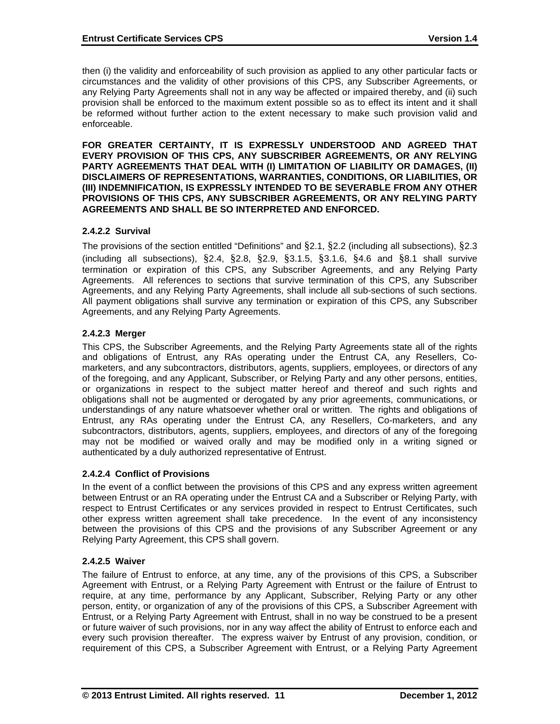then (i) the validity and enforceability of such provision as applied to any other particular facts or circumstances and the validity of other provisions of this CPS, any Subscriber Agreements, or any Relying Party Agreements shall not in any way be affected or impaired thereby, and (ii) such provision shall be enforced to the maximum extent possible so as to effect its intent and it shall be reformed without further action to the extent necessary to make such provision valid and enforceable.

**FOR GREATER CERTAINTY, IT IS EXPRESSLY UNDERSTOOD AND AGREED THAT EVERY PROVISION OF THIS CPS, ANY SUBSCRIBER AGREEMENTS, OR ANY RELYING PARTY AGREEMENTS THAT DEAL WITH (I) LIMITATION OF LIABILITY OR DAMAGES, (II) DISCLAIMERS OF REPRESENTATIONS, WARRANTIES, CONDITIONS, OR LIABILITIES, OR (III) INDEMNIFICATION, IS EXPRESSLY INTENDED TO BE SEVERABLE FROM ANY OTHER PROVISIONS OF THIS CPS, ANY SUBSCRIBER AGREEMENTS, OR ANY RELYING PARTY AGREEMENTS AND SHALL BE SO INTERPRETED AND ENFORCED.** 

# **2.4.2.2 Survival**

The provisions of the section entitled "Definitions" and §2.1, §2.2 (including all subsections), §2.3 (including all subsections), §2.4, §2.8, §2.9, §3.1.5, §3.1.6, §4.6 and §8.1 shall survive termination or expiration of this CPS, any Subscriber Agreements, and any Relying Party Agreements. All references to sections that survive termination of this CPS, any Subscriber Agreements, and any Relying Party Agreements, shall include all sub-sections of such sections. All payment obligations shall survive any termination or expiration of this CPS, any Subscriber Agreements, and any Relying Party Agreements.

#### **2.4.2.3 Merger**

This CPS, the Subscriber Agreements, and the Relying Party Agreements state all of the rights and obligations of Entrust, any RAs operating under the Entrust CA, any Resellers, Comarketers, and any subcontractors, distributors, agents, suppliers, employees, or directors of any of the foregoing, and any Applicant, Subscriber, or Relying Party and any other persons, entities, or organizations in respect to the subject matter hereof and thereof and such rights and obligations shall not be augmented or derogated by any prior agreements, communications, or understandings of any nature whatsoever whether oral or written. The rights and obligations of Entrust, any RAs operating under the Entrust CA, any Resellers, Co-marketers, and any subcontractors, distributors, agents, suppliers, employees, and directors of any of the foregoing may not be modified or waived orally and may be modified only in a writing signed or authenticated by a duly authorized representative of Entrust.

# **2.4.2.4 Conflict of Provisions**

In the event of a conflict between the provisions of this CPS and any express written agreement between Entrust or an RA operating under the Entrust CA and a Subscriber or Relying Party, with respect to Entrust Certificates or any services provided in respect to Entrust Certificates, such other express written agreement shall take precedence. In the event of any inconsistency between the provisions of this CPS and the provisions of any Subscriber Agreement or any Relying Party Agreement, this CPS shall govern.

#### **2.4.2.5 Waiver**

The failure of Entrust to enforce, at any time, any of the provisions of this CPS, a Subscriber Agreement with Entrust, or a Relying Party Agreement with Entrust or the failure of Entrust to require, at any time, performance by any Applicant, Subscriber, Relying Party or any other person, entity, or organization of any of the provisions of this CPS, a Subscriber Agreement with Entrust, or a Relying Party Agreement with Entrust, shall in no way be construed to be a present or future waiver of such provisions, nor in any way affect the ability of Entrust to enforce each and every such provision thereafter. The express waiver by Entrust of any provision, condition, or requirement of this CPS, a Subscriber Agreement with Entrust, or a Relying Party Agreement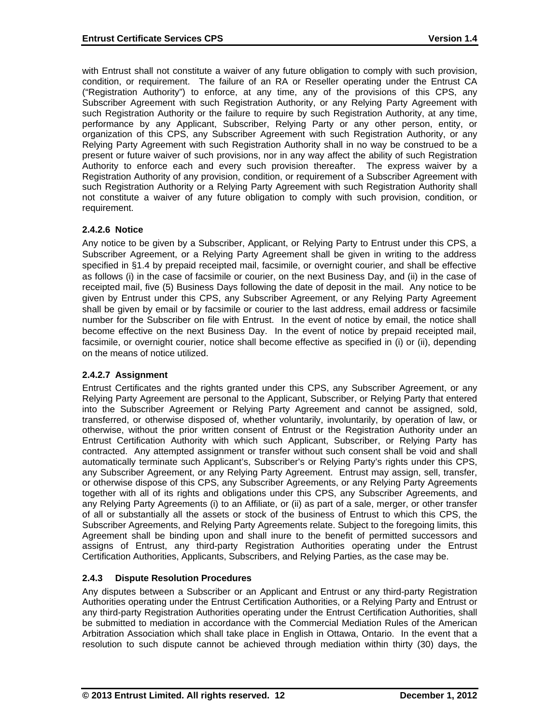with Entrust shall not constitute a waiver of any future obligation to comply with such provision, condition, or requirement. The failure of an RA or Reseller operating under the Entrust CA ("Registration Authority") to enforce, at any time, any of the provisions of this CPS, any Subscriber Agreement with such Registration Authority, or any Relying Party Agreement with such Registration Authority or the failure to require by such Registration Authority, at any time, performance by any Applicant, Subscriber, Relying Party or any other person, entity, or organization of this CPS, any Subscriber Agreement with such Registration Authority, or any Relying Party Agreement with such Registration Authority shall in no way be construed to be a present or future waiver of such provisions, nor in any way affect the ability of such Registration Authority to enforce each and every such provision thereafter. The express waiver by a Registration Authority of any provision, condition, or requirement of a Subscriber Agreement with such Registration Authority or a Relying Party Agreement with such Registration Authority shall not constitute a waiver of any future obligation to comply with such provision, condition, or requirement.

#### **2.4.2.6 Notice**

Any notice to be given by a Subscriber, Applicant, or Relying Party to Entrust under this CPS, a Subscriber Agreement, or a Relying Party Agreement shall be given in writing to the address specified in §1.4 by prepaid receipted mail, facsimile, or overnight courier, and shall be effective as follows (i) in the case of facsimile or courier, on the next Business Day, and (ii) in the case of receipted mail, five (5) Business Days following the date of deposit in the mail. Any notice to be given by Entrust under this CPS, any Subscriber Agreement, or any Relying Party Agreement shall be given by email or by facsimile or courier to the last address, email address or facsimile number for the Subscriber on file with Entrust. In the event of notice by email, the notice shall become effective on the next Business Day. In the event of notice by prepaid receipted mail, facsimile, or overnight courier, notice shall become effective as specified in (i) or (ii), depending on the means of notice utilized.

# **2.4.2.7 Assignment**

Entrust Certificates and the rights granted under this CPS, any Subscriber Agreement, or any Relying Party Agreement are personal to the Applicant, Subscriber, or Relying Party that entered into the Subscriber Agreement or Relying Party Agreement and cannot be assigned, sold, transferred, or otherwise disposed of, whether voluntarily, involuntarily, by operation of law, or otherwise, without the prior written consent of Entrust or the Registration Authority under an Entrust Certification Authority with which such Applicant, Subscriber, or Relying Party has contracted. Any attempted assignment or transfer without such consent shall be void and shall automatically terminate such Applicant's, Subscriber's or Relying Party's rights under this CPS, any Subscriber Agreement, or any Relying Party Agreement. Entrust may assign, sell, transfer, or otherwise dispose of this CPS, any Subscriber Agreements, or any Relying Party Agreements together with all of its rights and obligations under this CPS, any Subscriber Agreements, and any Relying Party Agreements (i) to an Affiliate, or (ii) as part of a sale, merger, or other transfer of all or substantially all the assets or stock of the business of Entrust to which this CPS, the Subscriber Agreements, and Relying Party Agreements relate. Subject to the foregoing limits, this Agreement shall be binding upon and shall inure to the benefit of permitted successors and assigns of Entrust, any third-party Registration Authorities operating under the Entrust Certification Authorities, Applicants, Subscribers, and Relying Parties, as the case may be.

# **2.4.3 Dispute Resolution Procedures**

Any disputes between a Subscriber or an Applicant and Entrust or any third-party Registration Authorities operating under the Entrust Certification Authorities, or a Relying Party and Entrust or any third-party Registration Authorities operating under the Entrust Certification Authorities, shall be submitted to mediation in accordance with the Commercial Mediation Rules of the American Arbitration Association which shall take place in English in Ottawa, Ontario. In the event that a resolution to such dispute cannot be achieved through mediation within thirty (30) days, the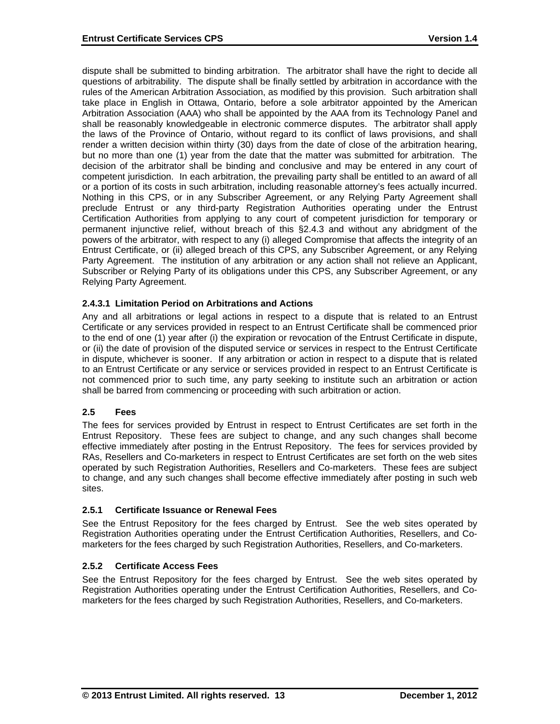dispute shall be submitted to binding arbitration. The arbitrator shall have the right to decide all questions of arbitrability. The dispute shall be finally settled by arbitration in accordance with the rules of the American Arbitration Association, as modified by this provision. Such arbitration shall take place in English in Ottawa, Ontario, before a sole arbitrator appointed by the American Arbitration Association (AAA) who shall be appointed by the AAA from its Technology Panel and shall be reasonably knowledgeable in electronic commerce disputes. The arbitrator shall apply the laws of the Province of Ontario, without regard to its conflict of laws provisions, and shall render a written decision within thirty (30) days from the date of close of the arbitration hearing, but no more than one (1) year from the date that the matter was submitted for arbitration. The decision of the arbitrator shall be binding and conclusive and may be entered in any court of competent jurisdiction. In each arbitration, the prevailing party shall be entitled to an award of all or a portion of its costs in such arbitration, including reasonable attorney's fees actually incurred. Nothing in this CPS, or in any Subscriber Agreement, or any Relying Party Agreement shall preclude Entrust or any third-party Registration Authorities operating under the Entrust Certification Authorities from applying to any court of competent jurisdiction for temporary or permanent injunctive relief, without breach of this §2.4.3 and without any abridgment of the powers of the arbitrator, with respect to any (i) alleged Compromise that affects the integrity of an Entrust Certificate, or (ii) alleged breach of this CPS, any Subscriber Agreement, or any Relying Party Agreement. The institution of any arbitration or any action shall not relieve an Applicant, Subscriber or Relying Party of its obligations under this CPS, any Subscriber Agreement, or any Relying Party Agreement.

# **2.4.3.1 Limitation Period on Arbitrations and Actions**

Any and all arbitrations or legal actions in respect to a dispute that is related to an Entrust Certificate or any services provided in respect to an Entrust Certificate shall be commenced prior to the end of one (1) year after (i) the expiration or revocation of the Entrust Certificate in dispute, or (ii) the date of provision of the disputed service or services in respect to the Entrust Certificate in dispute, whichever is sooner. If any arbitration or action in respect to a dispute that is related to an Entrust Certificate or any service or services provided in respect to an Entrust Certificate is not commenced prior to such time, any party seeking to institute such an arbitration or action shall be barred from commencing or proceeding with such arbitration or action.

# **2.5 Fees**

The fees for services provided by Entrust in respect to Entrust Certificates are set forth in the Entrust Repository. These fees are subject to change, and any such changes shall become effective immediately after posting in the Entrust Repository. The fees for services provided by RAs, Resellers and Co-marketers in respect to Entrust Certificates are set forth on the web sites operated by such Registration Authorities, Resellers and Co-marketers. These fees are subject to change, and any such changes shall become effective immediately after posting in such web sites.

# **2.5.1 Certificate Issuance or Renewal Fees**

See the Entrust Repository for the fees charged by Entrust. See the web sites operated by Registration Authorities operating under the Entrust Certification Authorities, Resellers, and Comarketers for the fees charged by such Registration Authorities, Resellers, and Co-marketers.

# **2.5.2 Certificate Access Fees**

See the Entrust Repository for the fees charged by Entrust. See the web sites operated by Registration Authorities operating under the Entrust Certification Authorities, Resellers, and Comarketers for the fees charged by such Registration Authorities, Resellers, and Co-marketers.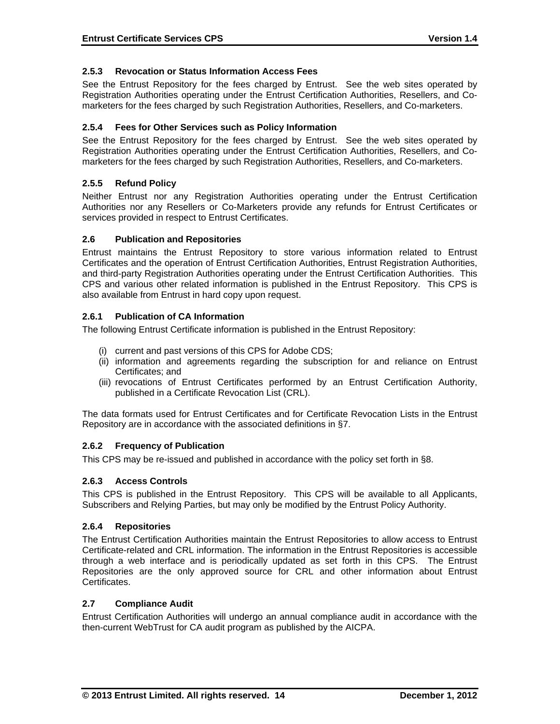# **2.5.3 Revocation or Status Information Access Fees**

See the Entrust Repository for the fees charged by Entrust. See the web sites operated by Registration Authorities operating under the Entrust Certification Authorities, Resellers, and Comarketers for the fees charged by such Registration Authorities, Resellers, and Co-marketers.

#### **2.5.4 Fees for Other Services such as Policy Information**

See the Entrust Repository for the fees charged by Entrust. See the web sites operated by Registration Authorities operating under the Entrust Certification Authorities, Resellers, and Comarketers for the fees charged by such Registration Authorities, Resellers, and Co-marketers.

#### **2.5.5 Refund Policy**

Neither Entrust nor any Registration Authorities operating under the Entrust Certification Authorities nor any Resellers or Co-Marketers provide any refunds for Entrust Certificates or services provided in respect to Entrust Certificates.

#### **2.6 Publication and Repositories**

Entrust maintains the Entrust Repository to store various information related to Entrust Certificates and the operation of Entrust Certification Authorities, Entrust Registration Authorities, and third-party Registration Authorities operating under the Entrust Certification Authorities. This CPS and various other related information is published in the Entrust Repository. This CPS is also available from Entrust in hard copy upon request.

#### **2.6.1 Publication of CA Information**

The following Entrust Certificate information is published in the Entrust Repository:

- (i) current and past versions of this CPS for Adobe CDS;
- (ii) information and agreements regarding the subscription for and reliance on Entrust Certificates; and
- (iii) revocations of Entrust Certificates performed by an Entrust Certification Authority, published in a Certificate Revocation List (CRL).

The data formats used for Entrust Certificates and for Certificate Revocation Lists in the Entrust Repository are in accordance with the associated definitions in §7.

# **2.6.2 Frequency of Publication**

This CPS may be re-issued and published in accordance with the policy set forth in §8.

# **2.6.3 Access Controls**

This CPS is published in the Entrust Repository. This CPS will be available to all Applicants, Subscribers and Relying Parties, but may only be modified by the Entrust Policy Authority.

#### **2.6.4 Repositories**

The Entrust Certification Authorities maintain the Entrust Repositories to allow access to Entrust Certificate-related and CRL information. The information in the Entrust Repositories is accessible through a web interface and is periodically updated as set forth in this CPS. The Entrust Repositories are the only approved source for CRL and other information about Entrust Certificates.

#### **2.7 Compliance Audit**

Entrust Certification Authorities will undergo an annual compliance audit in accordance with the then-current WebTrust for CA audit program as published by the AICPA.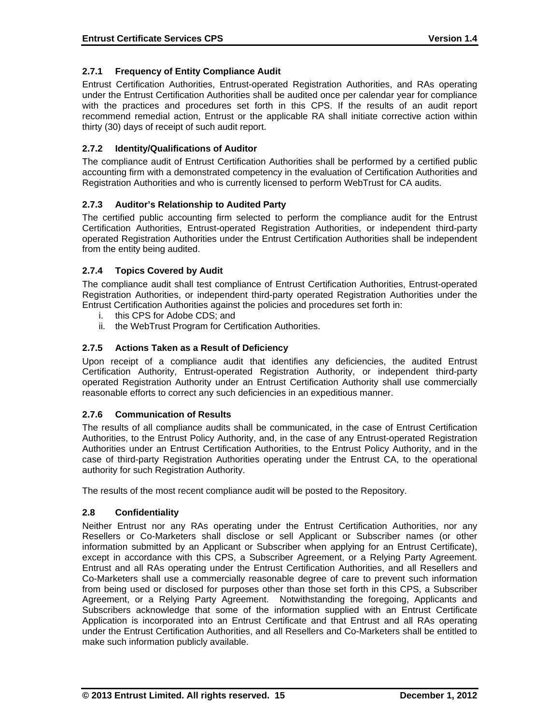# **2.7.1 Frequency of Entity Compliance Audit**

Entrust Certification Authorities, Entrust-operated Registration Authorities, and RAs operating under the Entrust Certification Authorities shall be audited once per calendar year for compliance with the practices and procedures set forth in this CPS. If the results of an audit report recommend remedial action, Entrust or the applicable RA shall initiate corrective action within thirty (30) days of receipt of such audit report.

# **2.7.2 Identity/Qualifications of Auditor**

The compliance audit of Entrust Certification Authorities shall be performed by a certified public accounting firm with a demonstrated competency in the evaluation of Certification Authorities and Registration Authorities and who is currently licensed to perform WebTrust for CA audits.

# **2.7.3 Auditor's Relationship to Audited Party**

The certified public accounting firm selected to perform the compliance audit for the Entrust Certification Authorities, Entrust-operated Registration Authorities, or independent third-party operated Registration Authorities under the Entrust Certification Authorities shall be independent from the entity being audited.

# **2.7.4 Topics Covered by Audit**

The compliance audit shall test compliance of Entrust Certification Authorities, Entrust-operated Registration Authorities, or independent third-party operated Registration Authorities under the Entrust Certification Authorities against the policies and procedures set forth in:

- i. this CPS for Adobe CDS; and
- ii. the WebTrust Program for Certification Authorities.

# **2.7.5 Actions Taken as a Result of Deficiency**

Upon receipt of a compliance audit that identifies any deficiencies, the audited Entrust Certification Authority, Entrust-operated Registration Authority, or independent third-party operated Registration Authority under an Entrust Certification Authority shall use commercially reasonable efforts to correct any such deficiencies in an expeditious manner.

# **2.7.6 Communication of Results**

The results of all compliance audits shall be communicated, in the case of Entrust Certification Authorities, to the Entrust Policy Authority, and, in the case of any Entrust-operated Registration Authorities under an Entrust Certification Authorities, to the Entrust Policy Authority, and in the case of third-party Registration Authorities operating under the Entrust CA, to the operational authority for such Registration Authority.

The results of the most recent compliance audit will be posted to the Repository.

# **2.8 Confidentiality**

Neither Entrust nor any RAs operating under the Entrust Certification Authorities, nor any Resellers or Co-Marketers shall disclose or sell Applicant or Subscriber names (or other information submitted by an Applicant or Subscriber when applying for an Entrust Certificate), except in accordance with this CPS, a Subscriber Agreement, or a Relying Party Agreement. Entrust and all RAs operating under the Entrust Certification Authorities, and all Resellers and Co-Marketers shall use a commercially reasonable degree of care to prevent such information from being used or disclosed for purposes other than those set forth in this CPS, a Subscriber Agreement, or a Relying Party Agreement. Notwithstanding the foregoing, Applicants and Subscribers acknowledge that some of the information supplied with an Entrust Certificate Application is incorporated into an Entrust Certificate and that Entrust and all RAs operating under the Entrust Certification Authorities, and all Resellers and Co-Marketers shall be entitled to make such information publicly available.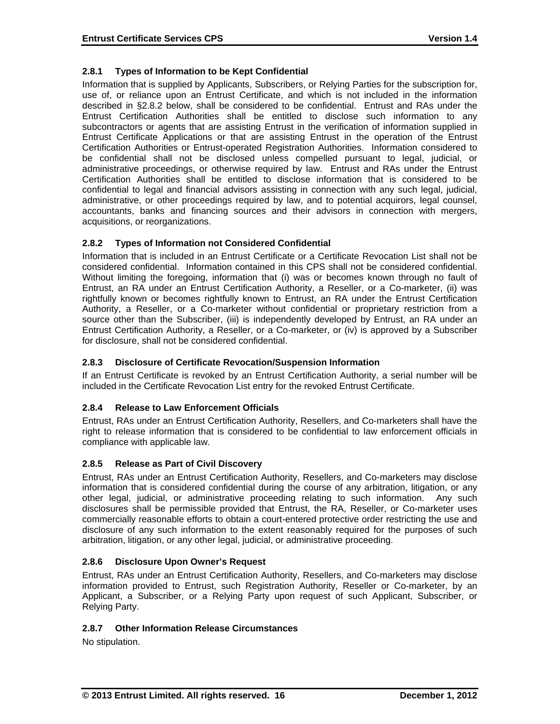# **2.8.1 Types of Information to be Kept Confidential**

Information that is supplied by Applicants, Subscribers, or Relying Parties for the subscription for, use of, or reliance upon an Entrust Certificate, and which is not included in the information described in §2.8.2 below, shall be considered to be confidential. Entrust and RAs under the Entrust Certification Authorities shall be entitled to disclose such information to any subcontractors or agents that are assisting Entrust in the verification of information supplied in Entrust Certificate Applications or that are assisting Entrust in the operation of the Entrust Certification Authorities or Entrust-operated Registration Authorities. Information considered to be confidential shall not be disclosed unless compelled pursuant to legal, judicial, or administrative proceedings, or otherwise required by law. Entrust and RAs under the Entrust Certification Authorities shall be entitled to disclose information that is considered to be confidential to legal and financial advisors assisting in connection with any such legal, judicial, administrative, or other proceedings required by law, and to potential acquirors, legal counsel, accountants, banks and financing sources and their advisors in connection with mergers, acquisitions, or reorganizations.

# **2.8.2 Types of Information not Considered Confidential**

Information that is included in an Entrust Certificate or a Certificate Revocation List shall not be considered confidential. Information contained in this CPS shall not be considered confidential. Without limiting the foregoing, information that (i) was or becomes known through no fault of Entrust, an RA under an Entrust Certification Authority, a Reseller, or a Co-marketer, (ii) was rightfully known or becomes rightfully known to Entrust, an RA under the Entrust Certification Authority, a Reseller, or a Co-marketer without confidential or proprietary restriction from a source other than the Subscriber, (iii) is independently developed by Entrust, an RA under an Entrust Certification Authority, a Reseller, or a Co-marketer, or (iv) is approved by a Subscriber for disclosure, shall not be considered confidential.

# **2.8.3 Disclosure of Certificate Revocation/Suspension Information**

If an Entrust Certificate is revoked by an Entrust Certification Authority, a serial number will be included in the Certificate Revocation List entry for the revoked Entrust Certificate.

# **2.8.4 Release to Law Enforcement Officials**

Entrust, RAs under an Entrust Certification Authority, Resellers, and Co-marketers shall have the right to release information that is considered to be confidential to law enforcement officials in compliance with applicable law.

# **2.8.5 Release as Part of Civil Discovery**

Entrust, RAs under an Entrust Certification Authority, Resellers, and Co-marketers may disclose information that is considered confidential during the course of any arbitration, litigation, or any other legal, judicial, or administrative proceeding relating to such information. Any such disclosures shall be permissible provided that Entrust, the RA, Reseller, or Co-marketer uses commercially reasonable efforts to obtain a court-entered protective order restricting the use and disclosure of any such information to the extent reasonably required for the purposes of such arbitration, litigation, or any other legal, judicial, or administrative proceeding.

# **2.8.6 Disclosure Upon Owner's Request**

Entrust, RAs under an Entrust Certification Authority, Resellers, and Co-marketers may disclose information provided to Entrust, such Registration Authority, Reseller or Co-marketer, by an Applicant, a Subscriber, or a Relying Party upon request of such Applicant, Subscriber, or Relying Party.

# **2.8.7 Other Information Release Circumstances**

No stipulation.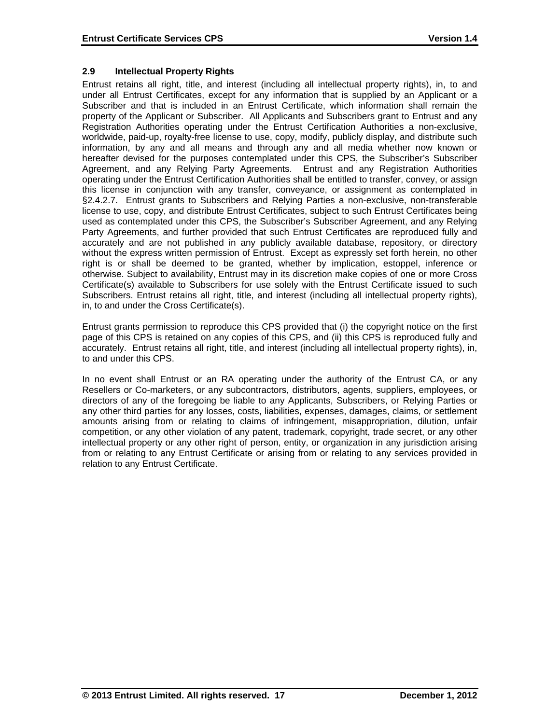# **2.9 Intellectual Property Rights**

Entrust retains all right, title, and interest (including all intellectual property rights), in, to and under all Entrust Certificates, except for any information that is supplied by an Applicant or a Subscriber and that is included in an Entrust Certificate, which information shall remain the property of the Applicant or Subscriber. All Applicants and Subscribers grant to Entrust and any Registration Authorities operating under the Entrust Certification Authorities a non-exclusive, worldwide, paid-up, royalty-free license to use, copy, modify, publicly display, and distribute such information, by any and all means and through any and all media whether now known or hereafter devised for the purposes contemplated under this CPS, the Subscriber's Subscriber Agreement, and any Relying Party Agreements. Entrust and any Registration Authorities operating under the Entrust Certification Authorities shall be entitled to transfer, convey, or assign this license in conjunction with any transfer, conveyance, or assignment as contemplated in §2.4.2.7. Entrust grants to Subscribers and Relying Parties a non-exclusive, non-transferable license to use, copy, and distribute Entrust Certificates, subject to such Entrust Certificates being used as contemplated under this CPS, the Subscriber's Subscriber Agreement, and any Relying Party Agreements, and further provided that such Entrust Certificates are reproduced fully and accurately and are not published in any publicly available database, repository, or directory without the express written permission of Entrust. Except as expressly set forth herein, no other right is or shall be deemed to be granted, whether by implication, estoppel, inference or otherwise. Subject to availability, Entrust may in its discretion make copies of one or more Cross Certificate(s) available to Subscribers for use solely with the Entrust Certificate issued to such Subscribers. Entrust retains all right, title, and interest (including all intellectual property rights), in, to and under the Cross Certificate(s).

Entrust grants permission to reproduce this CPS provided that (i) the copyright notice on the first page of this CPS is retained on any copies of this CPS, and (ii) this CPS is reproduced fully and accurately. Entrust retains all right, title, and interest (including all intellectual property rights), in, to and under this CPS.

In no event shall Entrust or an RA operating under the authority of the Entrust CA, or any Resellers or Co-marketers, or any subcontractors, distributors, agents, suppliers, employees, or directors of any of the foregoing be liable to any Applicants, Subscribers, or Relying Parties or any other third parties for any losses, costs, liabilities, expenses, damages, claims, or settlement amounts arising from or relating to claims of infringement, misappropriation, dilution, unfair competition, or any other violation of any patent, trademark, copyright, trade secret, or any other intellectual property or any other right of person, entity, or organization in any jurisdiction arising from or relating to any Entrust Certificate or arising from or relating to any services provided in relation to any Entrust Certificate.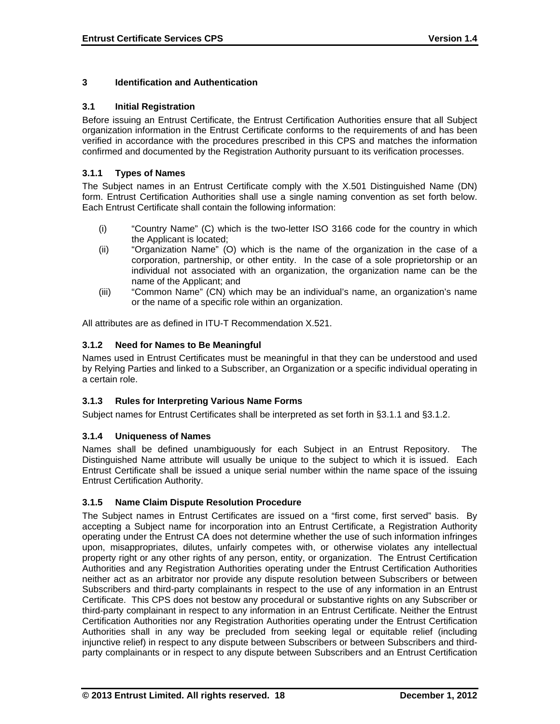# **3 Identification and Authentication**

# **3.1 Initial Registration**

Before issuing an Entrust Certificate, the Entrust Certification Authorities ensure that all Subject organization information in the Entrust Certificate conforms to the requirements of and has been verified in accordance with the procedures prescribed in this CPS and matches the information confirmed and documented by the Registration Authority pursuant to its verification processes.

# **3.1.1 Types of Names**

The Subject names in an Entrust Certificate comply with the X.501 Distinguished Name (DN) form. Entrust Certification Authorities shall use a single naming convention as set forth below. Each Entrust Certificate shall contain the following information:

- (i) "Country Name" (C) which is the two-letter ISO 3166 code for the country in which the Applicant is located;
- (ii) "Organization Name" (O) which is the name of the organization in the case of a corporation, partnership, or other entity. In the case of a sole proprietorship or an individual not associated with an organization, the organization name can be the name of the Applicant; and
- (iii) "Common Name" (CN) which may be an individual's name, an organization's name or the name of a specific role within an organization.

All attributes are as defined in ITU-T Recommendation X.521.

# **3.1.2 Need for Names to Be Meaningful**

Names used in Entrust Certificates must be meaningful in that they can be understood and used by Relying Parties and linked to a Subscriber, an Organization or a specific individual operating in a certain role.

# **3.1.3 Rules for Interpreting Various Name Forms**

Subject names for Entrust Certificates shall be interpreted as set forth in §3.1.1 and §3.1.2.

# **3.1.4 Uniqueness of Names**

Names shall be defined unambiguously for each Subject in an Entrust Repository. The Distinguished Name attribute will usually be unique to the subject to which it is issued. Each Entrust Certificate shall be issued a unique serial number within the name space of the issuing Entrust Certification Authority.

# **3.1.5 Name Claim Dispute Resolution Procedure**

The Subject names in Entrust Certificates are issued on a "first come, first served" basis. By accepting a Subject name for incorporation into an Entrust Certificate, a Registration Authority operating under the Entrust CA does not determine whether the use of such information infringes upon, misappropriates, dilutes, unfairly competes with, or otherwise violates any intellectual property right or any other rights of any person, entity, or organization. The Entrust Certification Authorities and any Registration Authorities operating under the Entrust Certification Authorities neither act as an arbitrator nor provide any dispute resolution between Subscribers or between Subscribers and third-party complainants in respect to the use of any information in an Entrust Certificate. This CPS does not bestow any procedural or substantive rights on any Subscriber or third-party complainant in respect to any information in an Entrust Certificate. Neither the Entrust Certification Authorities nor any Registration Authorities operating under the Entrust Certification Authorities shall in any way be precluded from seeking legal or equitable relief (including injunctive relief) in respect to any dispute between Subscribers or between Subscribers and thirdparty complainants or in respect to any dispute between Subscribers and an Entrust Certification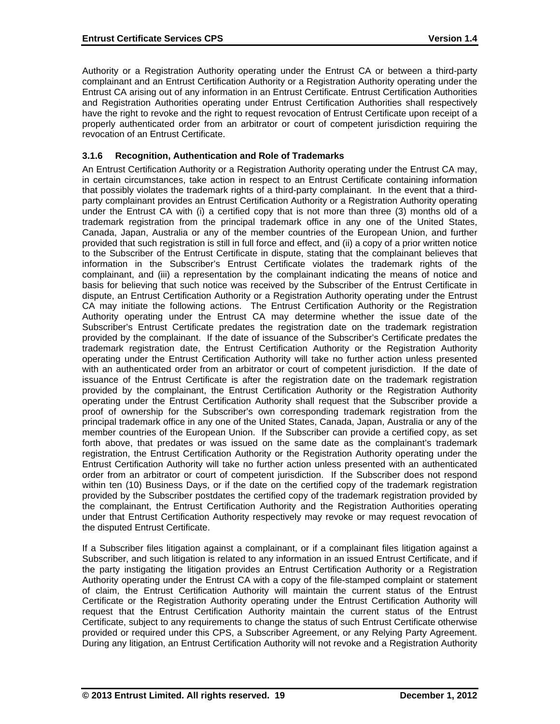Authority or a Registration Authority operating under the Entrust CA or between a third-party complainant and an Entrust Certification Authority or a Registration Authority operating under the Entrust CA arising out of any information in an Entrust Certificate. Entrust Certification Authorities and Registration Authorities operating under Entrust Certification Authorities shall respectively have the right to revoke and the right to request revocation of Entrust Certificate upon receipt of a properly authenticated order from an arbitrator or court of competent jurisdiction requiring the revocation of an Entrust Certificate.

# **3.1.6 Recognition, Authentication and Role of Trademarks**

An Entrust Certification Authority or a Registration Authority operating under the Entrust CA may, in certain circumstances, take action in respect to an Entrust Certificate containing information that possibly violates the trademark rights of a third-party complainant. In the event that a thirdparty complainant provides an Entrust Certification Authority or a Registration Authority operating under the Entrust CA with (i) a certified copy that is not more than three (3) months old of a trademark registration from the principal trademark office in any one of the United States, Canada, Japan, Australia or any of the member countries of the European Union, and further provided that such registration is still in full force and effect, and (ii) a copy of a prior written notice to the Subscriber of the Entrust Certificate in dispute, stating that the complainant believes that information in the Subscriber's Entrust Certificate violates the trademark rights of the complainant, and (iii) a representation by the complainant indicating the means of notice and basis for believing that such notice was received by the Subscriber of the Entrust Certificate in dispute, an Entrust Certification Authority or a Registration Authority operating under the Entrust CA may initiate the following actions. The Entrust Certification Authority or the Registration Authority operating under the Entrust CA may determine whether the issue date of the Subscriber's Entrust Certificate predates the registration date on the trademark registration provided by the complainant. If the date of issuance of the Subscriber's Certificate predates the trademark registration date, the Entrust Certification Authority or the Registration Authority operating under the Entrust Certification Authority will take no further action unless presented with an authenticated order from an arbitrator or court of competent jurisdiction. If the date of issuance of the Entrust Certificate is after the registration date on the trademark registration provided by the complainant, the Entrust Certification Authority or the Registration Authority operating under the Entrust Certification Authority shall request that the Subscriber provide a proof of ownership for the Subscriber's own corresponding trademark registration from the principal trademark office in any one of the United States, Canada, Japan, Australia or any of the member countries of the European Union. If the Subscriber can provide a certified copy, as set forth above, that predates or was issued on the same date as the complainant's trademark registration, the Entrust Certification Authority or the Registration Authority operating under the Entrust Certification Authority will take no further action unless presented with an authenticated order from an arbitrator or court of competent jurisdiction. If the Subscriber does not respond within ten (10) Business Days, or if the date on the certified copy of the trademark registration provided by the Subscriber postdates the certified copy of the trademark registration provided by the complainant, the Entrust Certification Authority and the Registration Authorities operating under that Entrust Certification Authority respectively may revoke or may request revocation of the disputed Entrust Certificate.

If a Subscriber files litigation against a complainant, or if a complainant files litigation against a Subscriber, and such litigation is related to any information in an issued Entrust Certificate, and if the party instigating the litigation provides an Entrust Certification Authority or a Registration Authority operating under the Entrust CA with a copy of the file-stamped complaint or statement of claim, the Entrust Certification Authority will maintain the current status of the Entrust Certificate or the Registration Authority operating under the Entrust Certification Authority will request that the Entrust Certification Authority maintain the current status of the Entrust Certificate, subject to any requirements to change the status of such Entrust Certificate otherwise provided or required under this CPS, a Subscriber Agreement, or any Relying Party Agreement. During any litigation, an Entrust Certification Authority will not revoke and a Registration Authority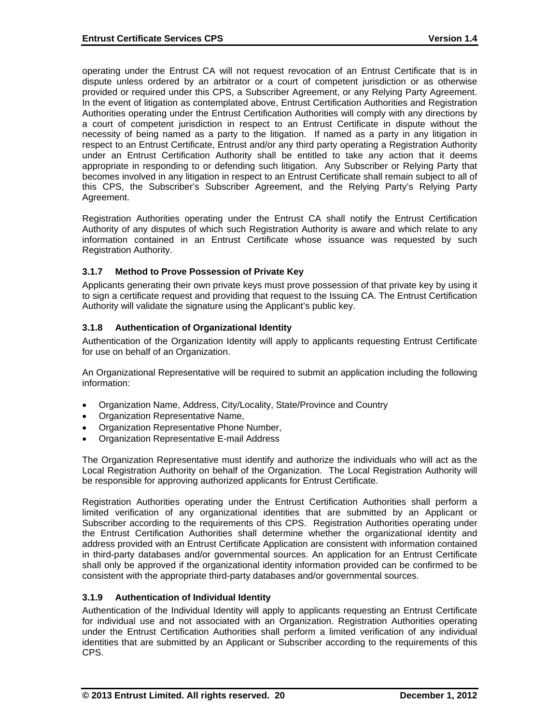operating under the Entrust CA will not request revocation of an Entrust Certificate that is in dispute unless ordered by an arbitrator or a court of competent jurisdiction or as otherwise provided or required under this CPS, a Subscriber Agreement, or any Relying Party Agreement. In the event of litigation as contemplated above, Entrust Certification Authorities and Registration Authorities operating under the Entrust Certification Authorities will comply with any directions by a court of competent jurisdiction in respect to an Entrust Certificate in dispute without the necessity of being named as a party to the litigation. If named as a party in any litigation in respect to an Entrust Certificate, Entrust and/or any third party operating a Registration Authority under an Entrust Certification Authority shall be entitled to take any action that it deems appropriate in responding to or defending such litigation. Any Subscriber or Relying Party that becomes involved in any litigation in respect to an Entrust Certificate shall remain subject to all of this CPS, the Subscriber's Subscriber Agreement, and the Relying Party's Relying Party Agreement.

Registration Authorities operating under the Entrust CA shall notify the Entrust Certification Authority of any disputes of which such Registration Authority is aware and which relate to any information contained in an Entrust Certificate whose issuance was requested by such Registration Authority.

# **3.1.7 Method to Prove Possession of Private Key**

Applicants generating their own private keys must prove possession of that private key by using it to sign a certificate request and providing that request to the Issuing CA. The Entrust Certification Authority will validate the signature using the Applicant's public key.

# **3.1.8 Authentication of Organizational Identity**

Authentication of the Organization Identity will apply to applicants requesting Entrust Certificate for use on behalf of an Organization.

An Organizational Representative will be required to submit an application including the following information:

- Organization Name, Address, City/Locality, State/Province and Country
- Organization Representative Name,
- Organization Representative Phone Number,
- Organization Representative E-mail Address

The Organization Representative must identify and authorize the individuals who will act as the Local Registration Authority on behalf of the Organization. The Local Registration Authority will be responsible for approving authorized applicants for Entrust Certificate.

Registration Authorities operating under the Entrust Certification Authorities shall perform a limited verification of any organizational identities that are submitted by an Applicant or Subscriber according to the requirements of this CPS. Registration Authorities operating under the Entrust Certification Authorities shall determine whether the organizational identity and address provided with an Entrust Certificate Application are consistent with information contained in third-party databases and/or governmental sources. An application for an Entrust Certificate shall only be approved if the organizational identity information provided can be confirmed to be consistent with the appropriate third-party databases and/or governmental sources.

# **3.1.9 Authentication of Individual Identity**

Authentication of the Individual Identity will apply to applicants requesting an Entrust Certificate for individual use and not associated with an Organization. Registration Authorities operating under the Entrust Certification Authorities shall perform a limited verification of any individual identities that are submitted by an Applicant or Subscriber according to the requirements of this CPS.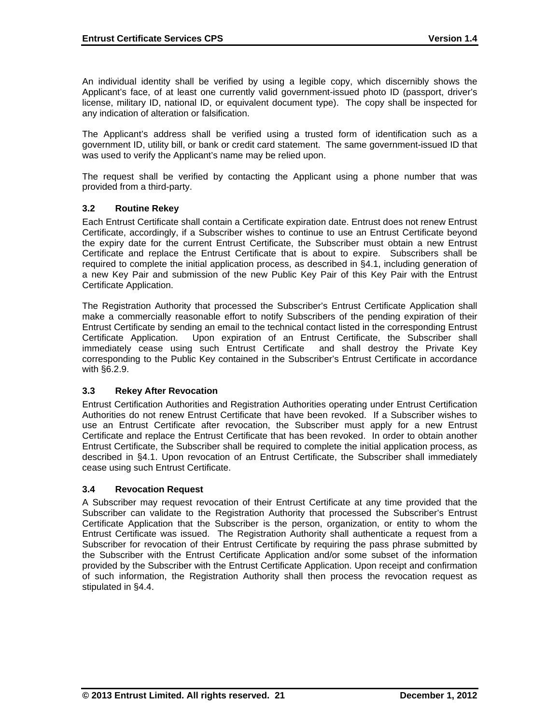An individual identity shall be verified by using a legible copy, which discernibly shows the Applicant's face, of at least one currently valid government-issued photo ID (passport, driver's license, military ID, national ID, or equivalent document type). The copy shall be inspected for any indication of alteration or falsification.

The Applicant's address shall be verified using a trusted form of identification such as a government ID, utility bill, or bank or credit card statement. The same government-issued ID that was used to verify the Applicant's name may be relied upon.

The request shall be verified by contacting the Applicant using a phone number that was provided from a third-party.

# **3.2 Routine Rekey**

Each Entrust Certificate shall contain a Certificate expiration date. Entrust does not renew Entrust Certificate, accordingly, if a Subscriber wishes to continue to use an Entrust Certificate beyond the expiry date for the current Entrust Certificate, the Subscriber must obtain a new Entrust Certificate and replace the Entrust Certificate that is about to expire. Subscribers shall be required to complete the initial application process, as described in §4.1, including generation of a new Key Pair and submission of the new Public Key Pair of this Key Pair with the Entrust Certificate Application.

The Registration Authority that processed the Subscriber's Entrust Certificate Application shall make a commercially reasonable effort to notify Subscribers of the pending expiration of their Entrust Certificate by sending an email to the technical contact listed in the corresponding Entrust Certificate Application. Upon expiration of an Entrust Certificate, the Subscriber shall immediately cease using such Entrust Certificate and shall destroy the Private Key corresponding to the Public Key contained in the Subscriber's Entrust Certificate in accordance with §6.2.9.

# **3.3 Rekey After Revocation**

Entrust Certification Authorities and Registration Authorities operating under Entrust Certification Authorities do not renew Entrust Certificate that have been revoked. If a Subscriber wishes to use an Entrust Certificate after revocation, the Subscriber must apply for a new Entrust Certificate and replace the Entrust Certificate that has been revoked. In order to obtain another Entrust Certificate, the Subscriber shall be required to complete the initial application process, as described in §4.1. Upon revocation of an Entrust Certificate, the Subscriber shall immediately cease using such Entrust Certificate.

# **3.4 Revocation Request**

A Subscriber may request revocation of their Entrust Certificate at any time provided that the Subscriber can validate to the Registration Authority that processed the Subscriber's Entrust Certificate Application that the Subscriber is the person, organization, or entity to whom the Entrust Certificate was issued. The Registration Authority shall authenticate a request from a Subscriber for revocation of their Entrust Certificate by requiring the pass phrase submitted by the Subscriber with the Entrust Certificate Application and/or some subset of the information provided by the Subscriber with the Entrust Certificate Application. Upon receipt and confirmation of such information, the Registration Authority shall then process the revocation request as stipulated in §4.4.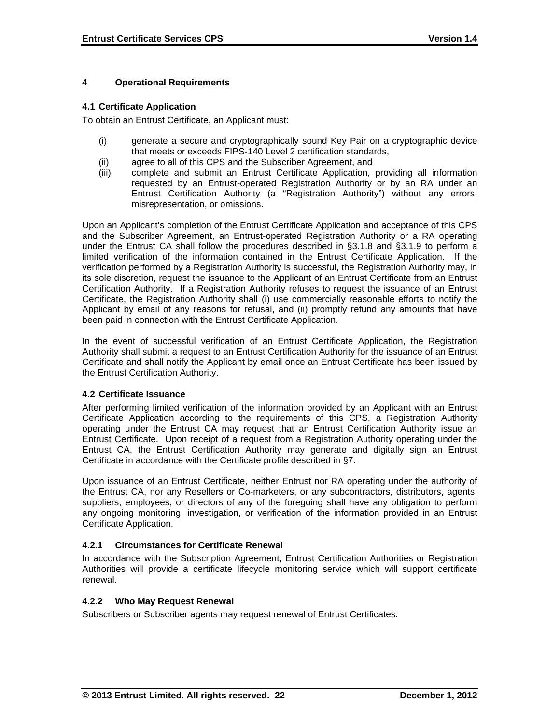# **4 Operational Requirements**

# **4.1 Certificate Application**

To obtain an Entrust Certificate, an Applicant must:

- (i) generate a secure and cryptographically sound Key Pair on a cryptographic device that meets or exceeds FIPS-140 Level 2 certification standards,
- (ii) agree to all of this CPS and the Subscriber Agreement, and
- (iii) complete and submit an Entrust Certificate Application, providing all information requested by an Entrust-operated Registration Authority or by an RA under an Entrust Certification Authority (a "Registration Authority") without any errors, misrepresentation, or omissions.

Upon an Applicant's completion of the Entrust Certificate Application and acceptance of this CPS and the Subscriber Agreement, an Entrust-operated Registration Authority or a RA operating under the Entrust CA shall follow the procedures described in §3.1.8 and §3.1.9 to perform a limited verification of the information contained in the Entrust Certificate Application. If the verification performed by a Registration Authority is successful, the Registration Authority may, in its sole discretion, request the issuance to the Applicant of an Entrust Certificate from an Entrust Certification Authority. If a Registration Authority refuses to request the issuance of an Entrust Certificate, the Registration Authority shall (i) use commercially reasonable efforts to notify the Applicant by email of any reasons for refusal, and (ii) promptly refund any amounts that have been paid in connection with the Entrust Certificate Application.

In the event of successful verification of an Entrust Certificate Application, the Registration Authority shall submit a request to an Entrust Certification Authority for the issuance of an Entrust Certificate and shall notify the Applicant by email once an Entrust Certificate has been issued by the Entrust Certification Authority.

# **4.2 Certificate Issuance**

After performing limited verification of the information provided by an Applicant with an Entrust Certificate Application according to the requirements of this CPS, a Registration Authority operating under the Entrust CA may request that an Entrust Certification Authority issue an Entrust Certificate. Upon receipt of a request from a Registration Authority operating under the Entrust CA, the Entrust Certification Authority may generate and digitally sign an Entrust Certificate in accordance with the Certificate profile described in §7.

Upon issuance of an Entrust Certificate, neither Entrust nor RA operating under the authority of the Entrust CA, nor any Resellers or Co-marketers, or any subcontractors, distributors, agents, suppliers, employees, or directors of any of the foregoing shall have any obligation to perform any ongoing monitoring, investigation, or verification of the information provided in an Entrust Certificate Application.

# **4.2.1 Circumstances for Certificate Renewal**

In accordance with the Subscription Agreement, Entrust Certification Authorities or Registration Authorities will provide a certificate lifecycle monitoring service which will support certificate renewal.

# **4.2.2 Who May Request Renewal**

Subscribers or Subscriber agents may request renewal of Entrust Certificates.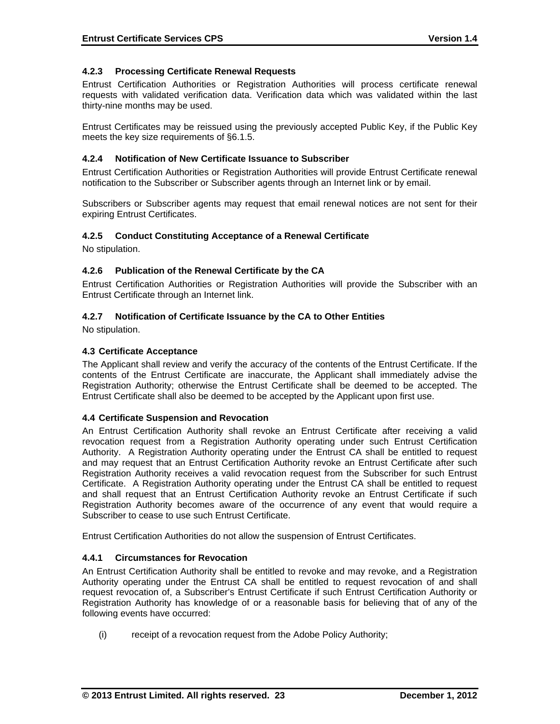# **4.2.3 Processing Certificate Renewal Requests**

Entrust Certification Authorities or Registration Authorities will process certificate renewal requests with validated verification data. Verification data which was validated within the last thirty-nine months may be used.

Entrust Certificates may be reissued using the previously accepted Public Key, if the Public Key meets the key size requirements of §6.1.5.

# **4.2.4 Notification of New Certificate Issuance to Subscriber**

Entrust Certification Authorities or Registration Authorities will provide Entrust Certificate renewal notification to the Subscriber or Subscriber agents through an Internet link or by email.

Subscribers or Subscriber agents may request that email renewal notices are not sent for their expiring Entrust Certificates.

#### **4.2.5 Conduct Constituting Acceptance of a Renewal Certificate**

No stipulation.

#### **4.2.6 Publication of the Renewal Certificate by the CA**

Entrust Certification Authorities or Registration Authorities will provide the Subscriber with an Entrust Certificate through an Internet link.

#### **4.2.7 Notification of Certificate Issuance by the CA to Other Entities**

No stipulation.

#### **4.3 Certificate Acceptance**

The Applicant shall review and verify the accuracy of the contents of the Entrust Certificate. If the contents of the Entrust Certificate are inaccurate, the Applicant shall immediately advise the Registration Authority; otherwise the Entrust Certificate shall be deemed to be accepted. The Entrust Certificate shall also be deemed to be accepted by the Applicant upon first use.

# **4.4 Certificate Suspension and Revocation**

An Entrust Certification Authority shall revoke an Entrust Certificate after receiving a valid revocation request from a Registration Authority operating under such Entrust Certification Authority. A Registration Authority operating under the Entrust CA shall be entitled to request and may request that an Entrust Certification Authority revoke an Entrust Certificate after such Registration Authority receives a valid revocation request from the Subscriber for such Entrust Certificate. A Registration Authority operating under the Entrust CA shall be entitled to request and shall request that an Entrust Certification Authority revoke an Entrust Certificate if such Registration Authority becomes aware of the occurrence of any event that would require a Subscriber to cease to use such Entrust Certificate.

Entrust Certification Authorities do not allow the suspension of Entrust Certificates.

#### **4.4.1 Circumstances for Revocation**

An Entrust Certification Authority shall be entitled to revoke and may revoke, and a Registration Authority operating under the Entrust CA shall be entitled to request revocation of and shall request revocation of, a Subscriber's Entrust Certificate if such Entrust Certification Authority or Registration Authority has knowledge of or a reasonable basis for believing that of any of the following events have occurred:

(i) receipt of a revocation request from the Adobe Policy Authority;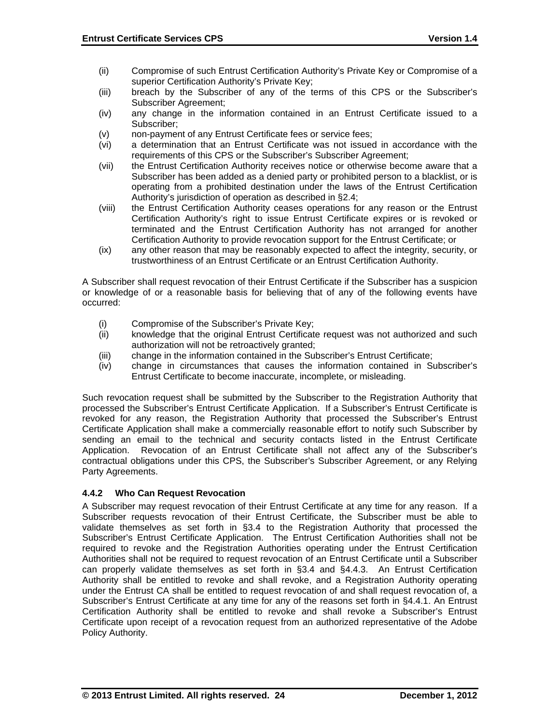- (ii) Compromise of such Entrust Certification Authority's Private Key or Compromise of a superior Certification Authority's Private Key;
- (iii) breach by the Subscriber of any of the terms of this CPS or the Subscriber's Subscriber Agreement;
- (iv) any change in the information contained in an Entrust Certificate issued to a Subscriber;
- (v) non-payment of any Entrust Certificate fees or service fees;
- (vi) a determination that an Entrust Certificate was not issued in accordance with the requirements of this CPS or the Subscriber's Subscriber Agreement;
- (vii) the Entrust Certification Authority receives notice or otherwise become aware that a Subscriber has been added as a denied party or prohibited person to a blacklist, or is operating from a prohibited destination under the laws of the Entrust Certification Authority's jurisdiction of operation as described in §2.4;
- (viii) the Entrust Certification Authority ceases operations for any reason or the Entrust Certification Authority's right to issue Entrust Certificate expires or is revoked or terminated and the Entrust Certification Authority has not arranged for another Certification Authority to provide revocation support for the Entrust Certificate; or
- (ix) any other reason that may be reasonably expected to affect the integrity, security, or trustworthiness of an Entrust Certificate or an Entrust Certification Authority.

A Subscriber shall request revocation of their Entrust Certificate if the Subscriber has a suspicion or knowledge of or a reasonable basis for believing that of any of the following events have occurred:

- (i) Compromise of the Subscriber's Private Key;
- (ii) knowledge that the original Entrust Certificate request was not authorized and such authorization will not be retroactively granted;
- (iii) change in the information contained in the Subscriber's Entrust Certificate;
- (iv) change in circumstances that causes the information contained in Subscriber's Entrust Certificate to become inaccurate, incomplete, or misleading.

Such revocation request shall be submitted by the Subscriber to the Registration Authority that processed the Subscriber's Entrust Certificate Application. If a Subscriber's Entrust Certificate is revoked for any reason, the Registration Authority that processed the Subscriber's Entrust Certificate Application shall make a commercially reasonable effort to notify such Subscriber by sending an email to the technical and security contacts listed in the Entrust Certificate Application. Revocation of an Entrust Certificate shall not affect any of the Subscriber's contractual obligations under this CPS, the Subscriber's Subscriber Agreement, or any Relying Party Agreements.

# **4.4.2 Who Can Request Revocation**

A Subscriber may request revocation of their Entrust Certificate at any time for any reason. If a Subscriber requests revocation of their Entrust Certificate, the Subscriber must be able to validate themselves as set forth in §3.4 to the Registration Authority that processed the Subscriber's Entrust Certificate Application. The Entrust Certification Authorities shall not be required to revoke and the Registration Authorities operating under the Entrust Certification Authorities shall not be required to request revocation of an Entrust Certificate until a Subscriber can properly validate themselves as set forth in §3.4 and §4.4.3. An Entrust Certification Authority shall be entitled to revoke and shall revoke, and a Registration Authority operating under the Entrust CA shall be entitled to request revocation of and shall request revocation of, a Subscriber's Entrust Certificate at any time for any of the reasons set forth in §4.4.1. An Entrust Certification Authority shall be entitled to revoke and shall revoke a Subscriber's Entrust Certificate upon receipt of a revocation request from an authorized representative of the Adobe Policy Authority.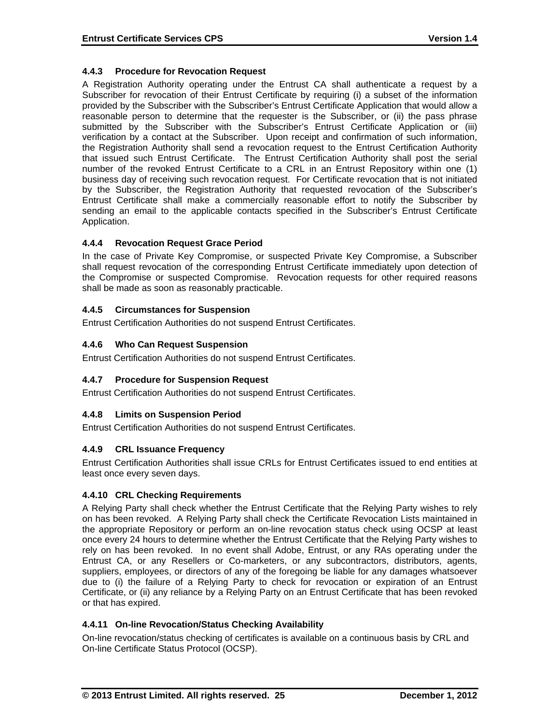# **4.4.3 Procedure for Revocation Request**

A Registration Authority operating under the Entrust CA shall authenticate a request by a Subscriber for revocation of their Entrust Certificate by requiring (i) a subset of the information provided by the Subscriber with the Subscriber's Entrust Certificate Application that would allow a reasonable person to determine that the requester is the Subscriber, or (ii) the pass phrase submitted by the Subscriber with the Subscriber's Entrust Certificate Application or (iii) verification by a contact at the Subscriber. Upon receipt and confirmation of such information, the Registration Authority shall send a revocation request to the Entrust Certification Authority that issued such Entrust Certificate. The Entrust Certification Authority shall post the serial number of the revoked Entrust Certificate to a CRL in an Entrust Repository within one (1) business day of receiving such revocation request. For Certificate revocation that is not initiated by the Subscriber, the Registration Authority that requested revocation of the Subscriber's Entrust Certificate shall make a commercially reasonable effort to notify the Subscriber by sending an email to the applicable contacts specified in the Subscriber's Entrust Certificate Application.

#### **4.4.4 Revocation Request Grace Period**

In the case of Private Key Compromise, or suspected Private Key Compromise, a Subscriber shall request revocation of the corresponding Entrust Certificate immediately upon detection of the Compromise or suspected Compromise. Revocation requests for other required reasons shall be made as soon as reasonably practicable.

# **4.4.5 Circumstances for Suspension**

Entrust Certification Authorities do not suspend Entrust Certificates.

#### **4.4.6 Who Can Request Suspension**

Entrust Certification Authorities do not suspend Entrust Certificates.

# **4.4.7 Procedure for Suspension Request**

Entrust Certification Authorities do not suspend Entrust Certificates.

#### **4.4.8 Limits on Suspension Period**

Entrust Certification Authorities do not suspend Entrust Certificates.

#### **4.4.9 CRL Issuance Frequency**

Entrust Certification Authorities shall issue CRLs for Entrust Certificates issued to end entities at least once every seven days.

# **4.4.10 CRL Checking Requirements**

A Relying Party shall check whether the Entrust Certificate that the Relying Party wishes to rely on has been revoked. A Relying Party shall check the Certificate Revocation Lists maintained in the appropriate Repository or perform an on-line revocation status check using OCSP at least once every 24 hours to determine whether the Entrust Certificate that the Relying Party wishes to rely on has been revoked. In no event shall Adobe, Entrust, or any RAs operating under the Entrust CA, or any Resellers or Co-marketers, or any subcontractors, distributors, agents, suppliers, employees, or directors of any of the foregoing be liable for any damages whatsoever due to (i) the failure of a Relying Party to check for revocation or expiration of an Entrust Certificate, or (ii) any reliance by a Relying Party on an Entrust Certificate that has been revoked or that has expired.

# **4.4.11 On-line Revocation/Status Checking Availability**

On-line revocation/status checking of certificates is available on a continuous basis by CRL and On-line Certificate Status Protocol (OCSP).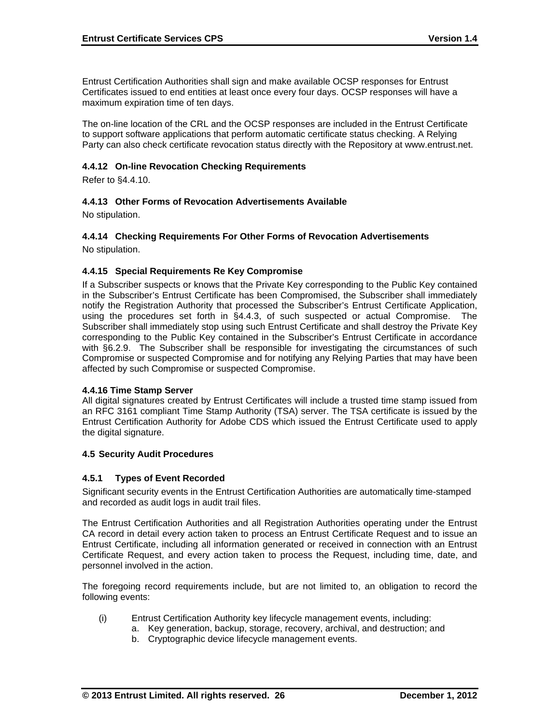Entrust Certification Authorities shall sign and make available OCSP responses for Entrust Certificates issued to end entities at least once every four days. OCSP responses will have a maximum expiration time of ten days.

The on-line location of the CRL and the OCSP responses are included in the Entrust Certificate to support software applications that perform automatic certificate status checking. A Relying Party can also check certificate revocation status directly with the Repository at www.entrust.net.

#### **4.4.12 On-line Revocation Checking Requirements**

Refer to §4.4.10.

# **4.4.13 Other Forms of Revocation Advertisements Available**

No stipulation.

# **4.4.14 Checking Requirements For Other Forms of Revocation Advertisements**

No stipulation.

#### **4.4.15 Special Requirements Re Key Compromise**

If a Subscriber suspects or knows that the Private Key corresponding to the Public Key contained in the Subscriber's Entrust Certificate has been Compromised, the Subscriber shall immediately notify the Registration Authority that processed the Subscriber's Entrust Certificate Application, using the procedures set forth in §4.4.3, of such suspected or actual Compromise. The Subscriber shall immediately stop using such Entrust Certificate and shall destroy the Private Key corresponding to the Public Key contained in the Subscriber's Entrust Certificate in accordance with §6.2.9. The Subscriber shall be responsible for investigating the circumstances of such Compromise or suspected Compromise and for notifying any Relying Parties that may have been affected by such Compromise or suspected Compromise.

#### **4.4.16 Time Stamp Server**

All digital signatures created by Entrust Certificates will include a trusted time stamp issued from an RFC 3161 compliant Time Stamp Authority (TSA) server. The TSA certificate is issued by the Entrust Certification Authority for Adobe CDS which issued the Entrust Certificate used to apply the digital signature.

#### **4.5 Security Audit Procedures**

#### **4.5.1 Types of Event Recorded**

Significant security events in the Entrust Certification Authorities are automatically time-stamped and recorded as audit logs in audit trail files.

The Entrust Certification Authorities and all Registration Authorities operating under the Entrust CA record in detail every action taken to process an Entrust Certificate Request and to issue an Entrust Certificate, including all information generated or received in connection with an Entrust Certificate Request, and every action taken to process the Request, including time, date, and personnel involved in the action.

The foregoing record requirements include, but are not limited to, an obligation to record the following events:

- (i) Entrust Certification Authority key lifecycle management events, including:
	- a. Key generation, backup, storage, recovery, archival, and destruction; and
		- b. Cryptographic device lifecycle management events.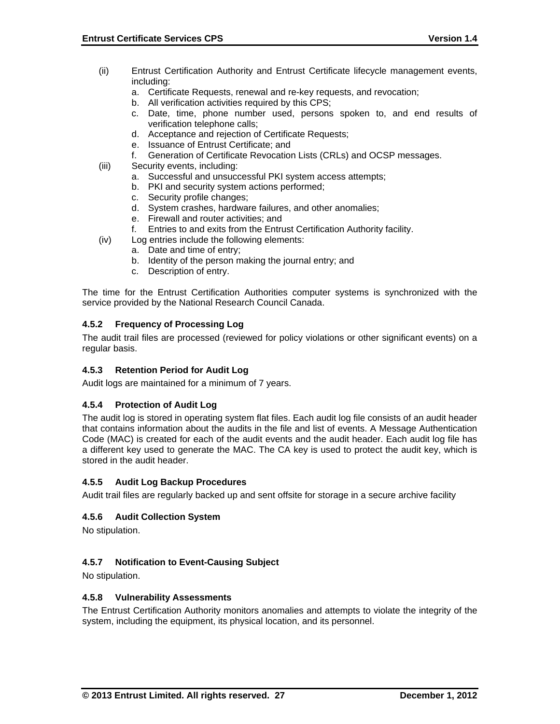- (ii) Entrust Certification Authority and Entrust Certificate lifecycle management events, including:
	- a. Certificate Requests, renewal and re-key requests, and revocation;
	- b. All verification activities required by this CPS;
	- c. Date, time, phone number used, persons spoken to, and end results of verification telephone calls;
	- d. Acceptance and rejection of Certificate Requests;
	- e. Issuance of Entrust Certificate; and
	- f. Generation of Certificate Revocation Lists (CRLs) and OCSP messages.
- (iii) Security events, including:
	- a. Successful and unsuccessful PKI system access attempts;
	- b. PKI and security system actions performed;
	- c. Security profile changes;
	- d. System crashes, hardware failures, and other anomalies;
	- e. Firewall and router activities; and
	- f. Entries to and exits from the Entrust Certification Authority facility.
- (iv) Log entries include the following elements:
	- a. Date and time of entry;
		- b. Identity of the person making the journal entry; and
		- c. Description of entry.

The time for the Entrust Certification Authorities computer systems is synchronized with the service provided by the National Research Council Canada.

# **4.5.2 Frequency of Processing Log**

The audit trail files are processed (reviewed for policy violations or other significant events) on a regular basis.

# **4.5.3 Retention Period for Audit Log**

Audit logs are maintained for a minimum of 7 years.

#### **4.5.4 Protection of Audit Log**

The audit log is stored in operating system flat files. Each audit log file consists of an audit header that contains information about the audits in the file and list of events. A Message Authentication Code (MAC) is created for each of the audit events and the audit header. Each audit log file has a different key used to generate the MAC. The CA key is used to protect the audit key, which is stored in the audit header.

#### **4.5.5 Audit Log Backup Procedures**

Audit trail files are regularly backed up and sent offsite for storage in a secure archive facility

#### **4.5.6 Audit Collection System**

No stipulation.

# **4.5.7 Notification to Event-Causing Subject**

No stipulation.

#### **4.5.8 Vulnerability Assessments**

The Entrust Certification Authority monitors anomalies and attempts to violate the integrity of the system, including the equipment, its physical location, and its personnel.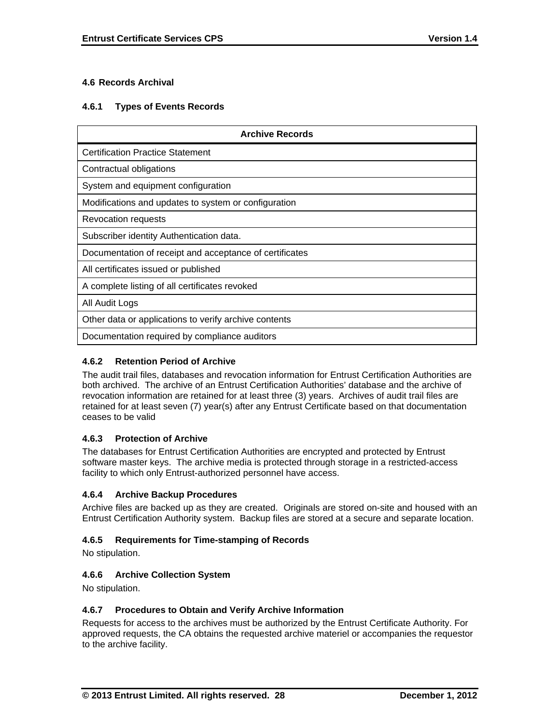# **4.6 Records Archival**

# **4.6.1 Types of Events Records**

| <b>Archive Records</b>                                  |
|---------------------------------------------------------|
| <b>Certification Practice Statement</b>                 |
| Contractual obligations                                 |
| System and equipment configuration                      |
| Modifications and updates to system or configuration    |
| Revocation requests                                     |
| Subscriber identity Authentication data.                |
| Documentation of receipt and acceptance of certificates |
| All certificates issued or published                    |
| A complete listing of all certificates revoked          |
| All Audit Logs                                          |
| Other data or applications to verify archive contents   |
| Documentation required by compliance auditors           |

# **4.6.2 Retention Period of Archive**

The audit trail files, databases and revocation information for Entrust Certification Authorities are both archived. The archive of an Entrust Certification Authorities' database and the archive of revocation information are retained for at least three (3) years. Archives of audit trail files are retained for at least seven (7) year(s) after any Entrust Certificate based on that documentation ceases to be valid

# **4.6.3 Protection of Archive**

The databases for Entrust Certification Authorities are encrypted and protected by Entrust software master keys. The archive media is protected through storage in a restricted-access facility to which only Entrust-authorized personnel have access.

# **4.6.4 Archive Backup Procedures**

Archive files are backed up as they are created. Originals are stored on-site and housed with an Entrust Certification Authority system. Backup files are stored at a secure and separate location.

# **4.6.5 Requirements for Time-stamping of Records**

No stipulation.

# **4.6.6 Archive Collection System**

No stipulation.

# **4.6.7 Procedures to Obtain and Verify Archive Information**

Requests for access to the archives must be authorized by the Entrust Certificate Authority. For approved requests, the CA obtains the requested archive materiel or accompanies the requestor to the archive facility.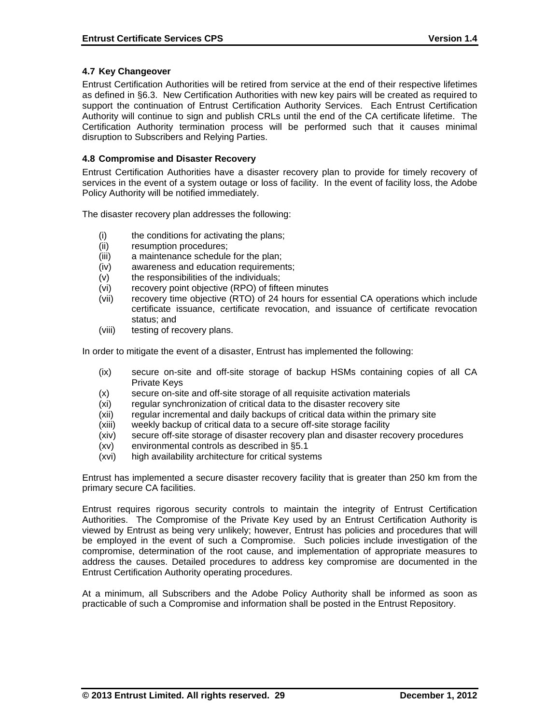# **4.7 Key Changeover**

Entrust Certification Authorities will be retired from service at the end of their respective lifetimes as defined in §6.3. New Certification Authorities with new key pairs will be created as required to support the continuation of Entrust Certification Authority Services. Each Entrust Certification Authority will continue to sign and publish CRLs until the end of the CA certificate lifetime. The Certification Authority termination process will be performed such that it causes minimal disruption to Subscribers and Relying Parties.

#### **4.8 Compromise and Disaster Recovery**

Entrust Certification Authorities have a disaster recovery plan to provide for timely recovery of services in the event of a system outage or loss of facility. In the event of facility loss, the Adobe Policy Authority will be notified immediately.

The disaster recovery plan addresses the following:

- (i) the conditions for activating the plans;
- (ii) resumption procedures;
- (iii) a maintenance schedule for the plan;
- (iv) awareness and education requirements;
- (v) the responsibilities of the individuals;
- (vi) recovery point objective (RPO) of fifteen minutes
- (vii) recovery time objective (RTO) of 24 hours for essential CA operations which include certificate issuance, certificate revocation, and issuance of certificate revocation status; and
- (viii) testing of recovery plans.

In order to mitigate the event of a disaster, Entrust has implemented the following:

- (ix) secure on-site and off-site storage of backup HSMs containing copies of all CA Private Keys
- (x) secure on-site and off-site storage of all requisite activation materials
- (xi) regular synchronization of critical data to the disaster recovery site
- (xii) regular incremental and daily backups of critical data within the primary site
- (xiii) weekly backup of critical data to a secure off-site storage facility
- (xiv) secure off-site storage of disaster recovery plan and disaster recovery procedures
- (xv) environmental controls as described in §5.1
- (xvi) high availability architecture for critical systems

Entrust has implemented a secure disaster recovery facility that is greater than 250 km from the primary secure CA facilities.

Entrust requires rigorous security controls to maintain the integrity of Entrust Certification Authorities. The Compromise of the Private Key used by an Entrust Certification Authority is viewed by Entrust as being very unlikely; however, Entrust has policies and procedures that will be employed in the event of such a Compromise. Such policies include investigation of the compromise, determination of the root cause, and implementation of appropriate measures to address the causes. Detailed procedures to address key compromise are documented in the Entrust Certification Authority operating procedures.

At a minimum, all Subscribers and the Adobe Policy Authority shall be informed as soon as practicable of such a Compromise and information shall be posted in the Entrust Repository.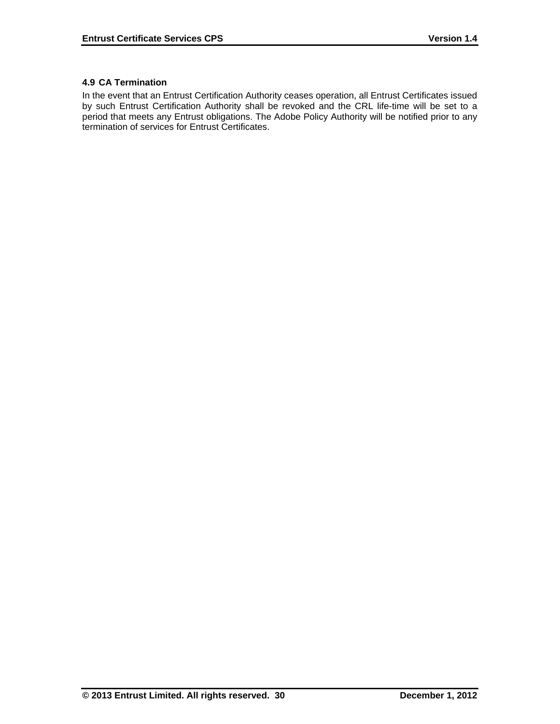# **4.9 CA Termination**

In the event that an Entrust Certification Authority ceases operation, all Entrust Certificates issued by such Entrust Certification Authority shall be revoked and the CRL life-time will be set to a period that meets any Entrust obligations. The Adobe Policy Authority will be notified prior to any termination of services for Entrust Certificates.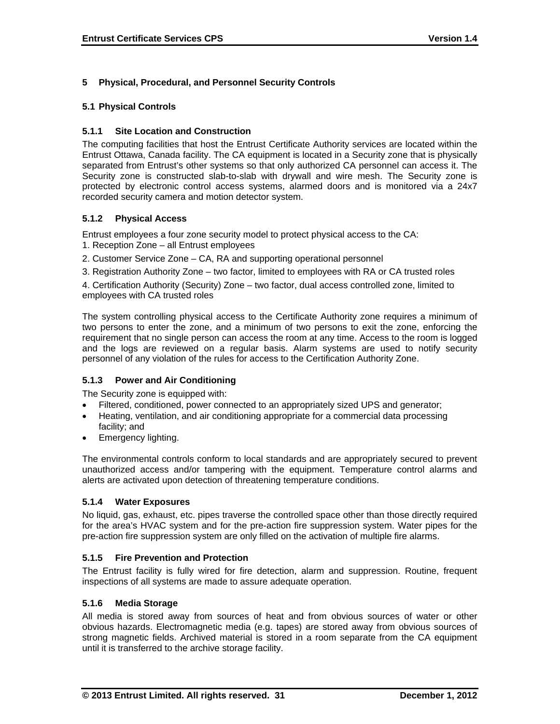# **5 Physical, Procedural, and Personnel Security Controls**

# **5.1 Physical Controls**

# **5.1.1 Site Location and Construction**

The computing facilities that host the Entrust Certificate Authority services are located within the Entrust Ottawa, Canada facility. The CA equipment is located in a Security zone that is physically separated from Entrust's other systems so that only authorized CA personnel can access it. The Security zone is constructed slab-to-slab with drywall and wire mesh. The Security zone is protected by electronic control access systems, alarmed doors and is monitored via a 24x7 recorded security camera and motion detector system.

# **5.1.2 Physical Access**

Entrust employees a four zone security model to protect physical access to the CA:

- 1. Reception Zone all Entrust employees
- 2. Customer Service Zone CA, RA and supporting operational personnel
- 3. Registration Authority Zone two factor, limited to employees with RA or CA trusted roles

4. Certification Authority (Security) Zone – two factor, dual access controlled zone, limited to employees with CA trusted roles

The system controlling physical access to the Certificate Authority zone requires a minimum of two persons to enter the zone, and a minimum of two persons to exit the zone, enforcing the requirement that no single person can access the room at any time. Access to the room is logged and the logs are reviewed on a regular basis. Alarm systems are used to notify security personnel of any violation of the rules for access to the Certification Authority Zone.

# **5.1.3 Power and Air Conditioning**

The Security zone is equipped with:

- Filtered, conditioned, power connected to an appropriately sized UPS and generator;
- Heating, ventilation, and air conditioning appropriate for a commercial data processing facility; and
- Emergency lighting.

The environmental controls conform to local standards and are appropriately secured to prevent unauthorized access and/or tampering with the equipment. Temperature control alarms and alerts are activated upon detection of threatening temperature conditions.

# **5.1.4 Water Exposures**

No liquid, gas, exhaust, etc. pipes traverse the controlled space other than those directly required for the area's HVAC system and for the pre-action fire suppression system. Water pipes for the pre-action fire suppression system are only filled on the activation of multiple fire alarms.

# **5.1.5 Fire Prevention and Protection**

The Entrust facility is fully wired for fire detection, alarm and suppression. Routine, frequent inspections of all systems are made to assure adequate operation.

# **5.1.6 Media Storage**

All media is stored away from sources of heat and from obvious sources of water or other obvious hazards. Electromagnetic media (e.g. tapes) are stored away from obvious sources of strong magnetic fields. Archived material is stored in a room separate from the CA equipment until it is transferred to the archive storage facility.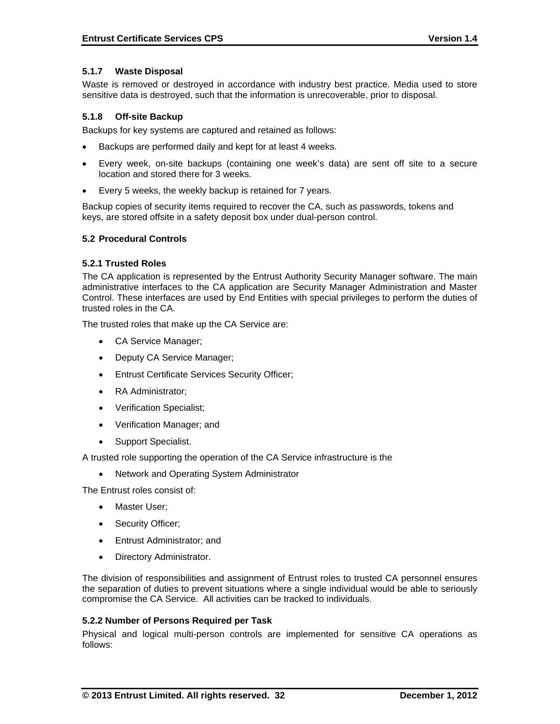#### **5.1.7 Waste Disposal**

Waste is removed or destroyed in accordance with industry best practice. Media used to store sensitive data is destroyed, such that the information is unrecoverable, prior to disposal.

#### **5.1.8 Off-site Backup**

Backups for key systems are captured and retained as follows:

- Backups are performed daily and kept for at least 4 weeks.
- Every week, on-site backups (containing one week's data) are sent off site to a secure location and stored there for 3 weeks.
- Every 5 weeks, the weekly backup is retained for 7 years.

Backup copies of security items required to recover the CA, such as passwords, tokens and keys, are stored offsite in a safety deposit box under dual-person control.

#### **5.2 Procedural Controls**

#### **5.2.1 Trusted Roles**

The CA application is represented by the Entrust Authority Security Manager software. The main administrative interfaces to the CA application are Security Manager Administration and Master Control. These interfaces are used by End Entities with special privileges to perform the duties of trusted roles in the CA.

The trusted roles that make up the CA Service are:

- CA Service Manager;
- Deputy CA Service Manager;
- Entrust Certificate Services Security Officer;
- RA Administrator:
- Verification Specialist;
- Verification Manager; and
- Support Specialist.

A trusted role supporting the operation of the CA Service infrastructure is the

• Network and Operating System Administrator

The Entrust roles consist of:

- Master User:
- Security Officer;
- Entrust Administrator; and
- Directory Administrator.

The division of responsibilities and assignment of Entrust roles to trusted CA personnel ensures the separation of duties to prevent situations where a single individual would be able to seriously compromise the CA Service. All activities can be tracked to individuals.

#### **5.2.2 Number of Persons Required per Task**

Physical and logical multi-person controls are implemented for sensitive CA operations as follows: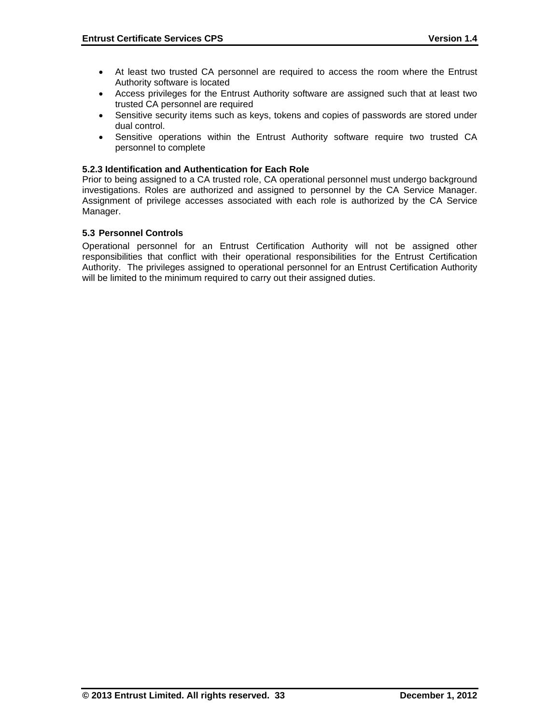- At least two trusted CA personnel are required to access the room where the Entrust Authority software is located
- Access privileges for the Entrust Authority software are assigned such that at least two trusted CA personnel are required
- Sensitive security items such as keys, tokens and copies of passwords are stored under dual control.
- Sensitive operations within the Entrust Authority software require two trusted CA personnel to complete

#### **5.2.3 Identification and Authentication for Each Role**

Prior to being assigned to a CA trusted role, CA operational personnel must undergo background investigations. Roles are authorized and assigned to personnel by the CA Service Manager. Assignment of privilege accesses associated with each role is authorized by the CA Service Manager.

#### **5.3 Personnel Controls**

Operational personnel for an Entrust Certification Authority will not be assigned other responsibilities that conflict with their operational responsibilities for the Entrust Certification Authority. The privileges assigned to operational personnel for an Entrust Certification Authority will be limited to the minimum required to carry out their assigned duties.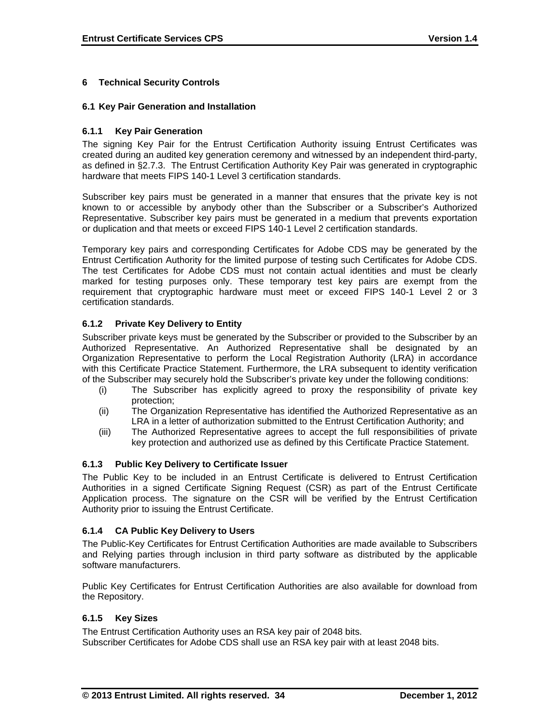# **6 Technical Security Controls**

#### **6.1 Key Pair Generation and Installation**

#### **6.1.1 Key Pair Generation**

The signing Key Pair for the Entrust Certification Authority issuing Entrust Certificates was created during an audited key generation ceremony and witnessed by an independent third-party, as defined in §2.7.3. The Entrust Certification Authority Key Pair was generated in cryptographic hardware that meets FIPS 140-1 Level 3 certification standards.

Subscriber key pairs must be generated in a manner that ensures that the private key is not known to or accessible by anybody other than the Subscriber or a Subscriber's Authorized Representative. Subscriber key pairs must be generated in a medium that prevents exportation or duplication and that meets or exceed FIPS 140-1 Level 2 certification standards.

Temporary key pairs and corresponding Certificates for Adobe CDS may be generated by the Entrust Certification Authority for the limited purpose of testing such Certificates for Adobe CDS. The test Certificates for Adobe CDS must not contain actual identities and must be clearly marked for testing purposes only. These temporary test key pairs are exempt from the requirement that cryptographic hardware must meet or exceed FIPS 140-1 Level 2 or 3 certification standards.

# **6.1.2 Private Key Delivery to Entity**

Subscriber private keys must be generated by the Subscriber or provided to the Subscriber by an Authorized Representative. An Authorized Representative shall be designated by an Organization Representative to perform the Local Registration Authority (LRA) in accordance with this Certificate Practice Statement. Furthermore, the LRA subsequent to identity verification of the Subscriber may securely hold the Subscriber's private key under the following conditions:

- (i) The Subscriber has explicitly agreed to proxy the responsibility of private key protection;
- (ii) The Organization Representative has identified the Authorized Representative as an LRA in a letter of authorization submitted to the Entrust Certification Authority; and
- (iii) The Authorized Representative agrees to accept the full responsibilities of private key protection and authorized use as defined by this Certificate Practice Statement.

# **6.1.3 Public Key Delivery to Certificate Issuer**

The Public Key to be included in an Entrust Certificate is delivered to Entrust Certification Authorities in a signed Certificate Signing Request (CSR) as part of the Entrust Certificate Application process. The signature on the CSR will be verified by the Entrust Certification Authority prior to issuing the Entrust Certificate.

# **6.1.4 CA Public Key Delivery to Users**

The Public-Key Certificates for Entrust Certification Authorities are made available to Subscribers and Relying parties through inclusion in third party software as distributed by the applicable software manufacturers.

Public Key Certificates for Entrust Certification Authorities are also available for download from the Repository.

# **6.1.5 Key Sizes**

The Entrust Certification Authority uses an RSA key pair of 2048 bits. Subscriber Certificates for Adobe CDS shall use an RSA key pair with at least 2048 bits.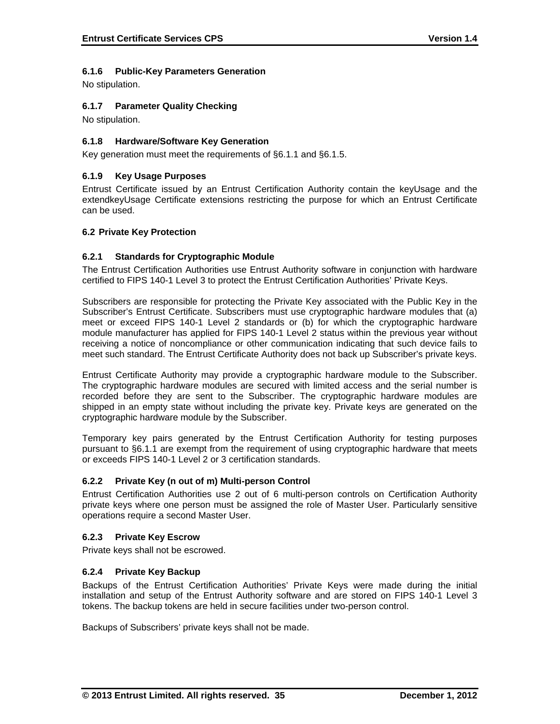# **6.1.6 Public-Key Parameters Generation**

No stipulation.

# **6.1.7 Parameter Quality Checking**

No stipulation.

# **6.1.8 Hardware/Software Key Generation**

Key generation must meet the requirements of §6.1.1 and §6.1.5.

# **6.1.9 Key Usage Purposes**

Entrust Certificate issued by an Entrust Certification Authority contain the keyUsage and the extendkeyUsage Certificate extensions restricting the purpose for which an Entrust Certificate can be used.

#### **6.2 Private Key Protection**

#### **6.2.1 Standards for Cryptographic Module**

The Entrust Certification Authorities use Entrust Authority software in conjunction with hardware certified to FIPS 140-1 Level 3 to protect the Entrust Certification Authorities' Private Keys.

Subscribers are responsible for protecting the Private Key associated with the Public Key in the Subscriber's Entrust Certificate. Subscribers must use cryptographic hardware modules that (a) meet or exceed FIPS 140-1 Level 2 standards or (b) for which the cryptographic hardware module manufacturer has applied for FIPS 140-1 Level 2 status within the previous year without receiving a notice of noncompliance or other communication indicating that such device fails to meet such standard. The Entrust Certificate Authority does not back up Subscriber's private keys.

Entrust Certificate Authority may provide a cryptographic hardware module to the Subscriber. The cryptographic hardware modules are secured with limited access and the serial number is recorded before they are sent to the Subscriber. The cryptographic hardware modules are shipped in an empty state without including the private key. Private keys are generated on the cryptographic hardware module by the Subscriber.

Temporary key pairs generated by the Entrust Certification Authority for testing purposes pursuant to §6.1.1 are exempt from the requirement of using cryptographic hardware that meets or exceeds FIPS 140-1 Level 2 or 3 certification standards.

# **6.2.2 Private Key (n out of m) Multi-person Control**

Entrust Certification Authorities use 2 out of 6 multi-person controls on Certification Authority private keys where one person must be assigned the role of Master User. Particularly sensitive operations require a second Master User.

#### **6.2.3 Private Key Escrow**

Private keys shall not be escrowed.

#### **6.2.4 Private Key Backup**

Backups of the Entrust Certification Authorities' Private Keys were made during the initial installation and setup of the Entrust Authority software and are stored on FIPS 140-1 Level 3 tokens. The backup tokens are held in secure facilities under two-person control.

Backups of Subscribers' private keys shall not be made.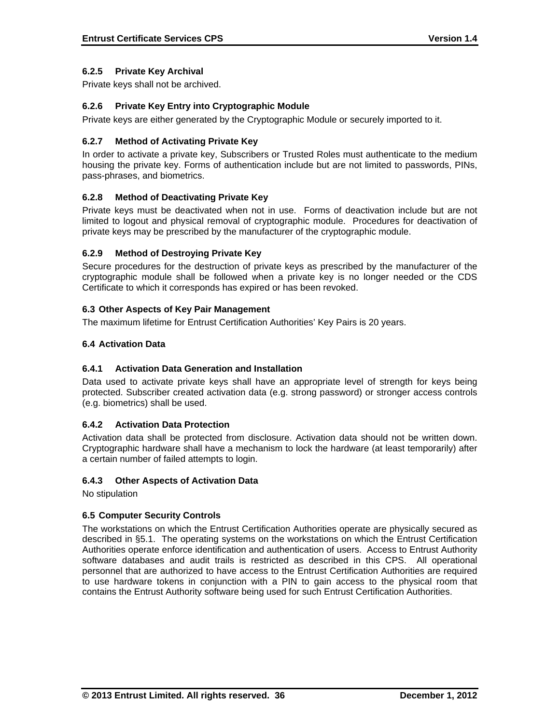# **6.2.5 Private Key Archival**

Private keys shall not be archived.

# **6.2.6 Private Key Entry into Cryptographic Module**

Private keys are either generated by the Cryptographic Module or securely imported to it.

# **6.2.7 Method of Activating Private Key**

In order to activate a private key, Subscribers or Trusted Roles must authenticate to the medium housing the private key. Forms of authentication include but are not limited to passwords, PINs, pass-phrases, and biometrics.

# **6.2.8 Method of Deactivating Private Key**

Private keys must be deactivated when not in use. Forms of deactivation include but are not limited to logout and physical removal of cryptographic module. Procedures for deactivation of private keys may be prescribed by the manufacturer of the cryptographic module.

# **6.2.9 Method of Destroying Private Key**

Secure procedures for the destruction of private keys as prescribed by the manufacturer of the cryptographic module shall be followed when a private key is no longer needed or the CDS Certificate to which it corresponds has expired or has been revoked.

# **6.3 Other Aspects of Key Pair Management**

The maximum lifetime for Entrust Certification Authorities' Key Pairs is 20 years.

# **6.4 Activation Data**

# **6.4.1 Activation Data Generation and Installation**

Data used to activate private keys shall have an appropriate level of strength for keys being protected. Subscriber created activation data (e.g. strong password) or stronger access controls (e.g. biometrics) shall be used.

# **6.4.2 Activation Data Protection**

Activation data shall be protected from disclosure. Activation data should not be written down. Cryptographic hardware shall have a mechanism to lock the hardware (at least temporarily) after a certain number of failed attempts to login.

# **6.4.3 Other Aspects of Activation Data**

No stipulation

# **6.5 Computer Security Controls**

The workstations on which the Entrust Certification Authorities operate are physically secured as described in §5.1. The operating systems on the workstations on which the Entrust Certification Authorities operate enforce identification and authentication of users. Access to Entrust Authority software databases and audit trails is restricted as described in this CPS. All operational personnel that are authorized to have access to the Entrust Certification Authorities are required to use hardware tokens in conjunction with a PIN to gain access to the physical room that contains the Entrust Authority software being used for such Entrust Certification Authorities.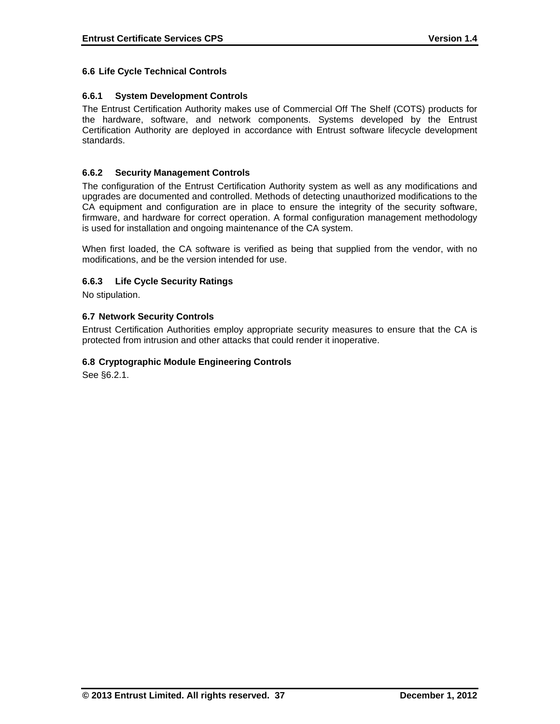# **6.6 Life Cycle Technical Controls**

# **6.6.1 System Development Controls**

The Entrust Certification Authority makes use of Commercial Off The Shelf (COTS) products for the hardware, software, and network components. Systems developed by the Entrust Certification Authority are deployed in accordance with Entrust software lifecycle development standards.

# **6.6.2 Security Management Controls**

The configuration of the Entrust Certification Authority system as well as any modifications and upgrades are documented and controlled. Methods of detecting unauthorized modifications to the CA equipment and configuration are in place to ensure the integrity of the security software, firmware, and hardware for correct operation. A formal configuration management methodology is used for installation and ongoing maintenance of the CA system.

When first loaded, the CA software is verified as being that supplied from the vendor, with no modifications, and be the version intended for use.

# **6.6.3 Life Cycle Security Ratings**

No stipulation.

# **6.7 Network Security Controls**

Entrust Certification Authorities employ appropriate security measures to ensure that the CA is protected from intrusion and other attacks that could render it inoperative.

# **6.8 Cryptographic Module Engineering Controls**

See §6.2.1.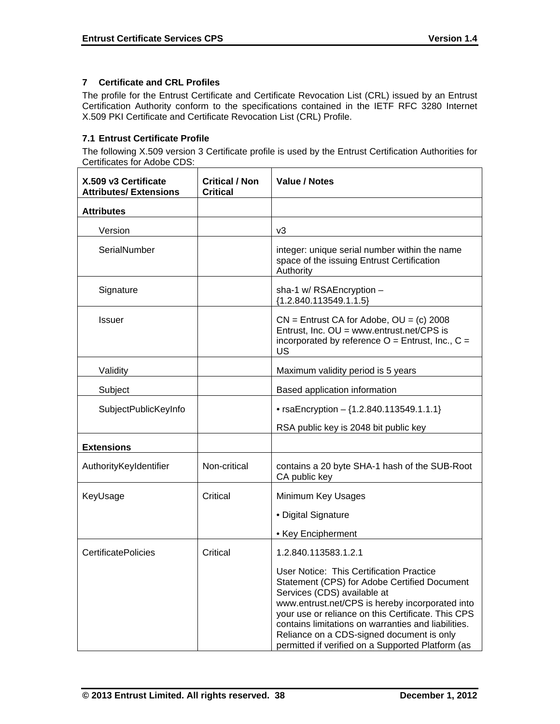# **7 Certificate and CRL Profiles**

The profile for the Entrust Certificate and Certificate Revocation List (CRL) issued by an Entrust Certification Authority conform to the specifications contained in the IETF RFC 3280 Internet X.509 PKI Certificate and Certificate Revocation List (CRL) Profile.

# **7.1 Entrust Certificate Profile**

The following X.509 version 3 Certificate profile is used by the Entrust Certification Authorities for Certificates for Adobe CDS:

| X.509 v3 Certificate<br><b>Attributes/ Extensions</b> | <b>Critical / Non</b><br><b>Critical</b> | Value / Notes                                                                                                                                                                                                                                                                                                                                                                             |
|-------------------------------------------------------|------------------------------------------|-------------------------------------------------------------------------------------------------------------------------------------------------------------------------------------------------------------------------------------------------------------------------------------------------------------------------------------------------------------------------------------------|
| <b>Attributes</b>                                     |                                          |                                                                                                                                                                                                                                                                                                                                                                                           |
| Version                                               |                                          | v3                                                                                                                                                                                                                                                                                                                                                                                        |
| SerialNumber                                          |                                          | integer: unique serial number within the name<br>space of the issuing Entrust Certification<br>Authority                                                                                                                                                                                                                                                                                  |
| Signature                                             |                                          | sha-1 w/ RSAEncryption -<br>${1.2.840.113549.1.1.5}$                                                                                                                                                                                                                                                                                                                                      |
| <b>Issuer</b>                                         |                                          | $CN =$ Entrust CA for Adobe, $OU = (c)$ 2008<br>Entrust, Inc. OU = www.entrust.net/CPS is<br>incorporated by reference $O =$ Entrust, Inc., $C =$<br>US                                                                                                                                                                                                                                   |
| Validity                                              |                                          | Maximum validity period is 5 years                                                                                                                                                                                                                                                                                                                                                        |
| Subject                                               |                                          | Based application information                                                                                                                                                                                                                                                                                                                                                             |
| SubjectPublicKeyInfo                                  |                                          | • rsaEncryption $-$ {1.2.840.113549.1.1.1}                                                                                                                                                                                                                                                                                                                                                |
|                                                       |                                          | RSA public key is 2048 bit public key                                                                                                                                                                                                                                                                                                                                                     |
| <b>Extensions</b>                                     |                                          |                                                                                                                                                                                                                                                                                                                                                                                           |
| AuthorityKeyIdentifier                                | Non-critical                             | contains a 20 byte SHA-1 hash of the SUB-Root<br>CA public key                                                                                                                                                                                                                                                                                                                            |
| KeyUsage                                              | Critical                                 | Minimum Key Usages                                                                                                                                                                                                                                                                                                                                                                        |
|                                                       |                                          | • Digital Signature                                                                                                                                                                                                                                                                                                                                                                       |
|                                                       |                                          | • Key Encipherment                                                                                                                                                                                                                                                                                                                                                                        |
| <b>CertificatePolicies</b>                            | Critical                                 | 1.2.840.113583.1.2.1                                                                                                                                                                                                                                                                                                                                                                      |
|                                                       |                                          | User Notice: This Certification Practice<br>Statement (CPS) for Adobe Certified Document<br>Services (CDS) available at<br>www.entrust.net/CPS is hereby incorporated into<br>your use or reliance on this Certificate. This CPS<br>contains limitations on warranties and liabilities.<br>Reliance on a CDS-signed document is only<br>permitted if verified on a Supported Platform (as |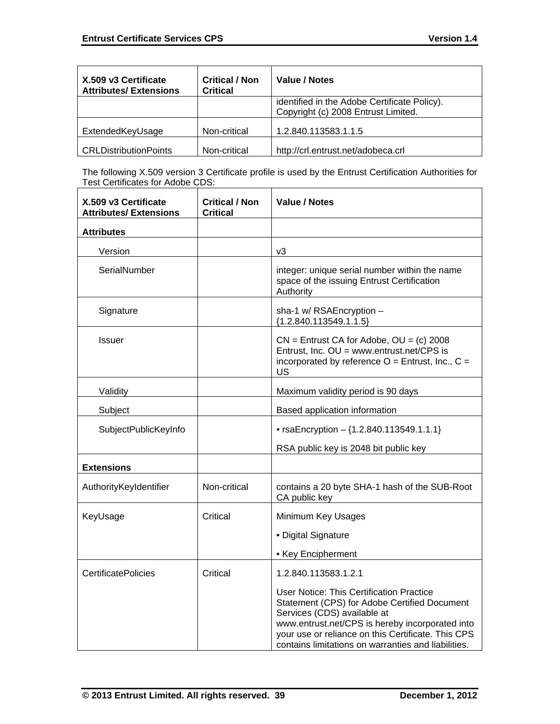| X.509 v3 Certificate<br><b>Attributes/Extensions</b> | <b>Critical / Non</b><br><b>Critical</b> | Value / Notes                                                                       |
|------------------------------------------------------|------------------------------------------|-------------------------------------------------------------------------------------|
|                                                      |                                          | identified in the Adobe Certificate Policy).<br>Copyright (c) 2008 Entrust Limited. |
| ExtendedKeyUsage                                     | Non-critical                             | 1.2.840.113583.1.1.5                                                                |
| <b>CRLDistributionPoints</b>                         | Non-critical                             | http://crl.entrust.net/adobeca.crl                                                  |

The following X.509 version 3 Certificate profile is used by the Entrust Certification Authorities for Test Certificates for Adobe CDS:

| X.509 v3 Certificate<br><b>Attributes/ Extensions</b> | <b>Critical / Non</b><br><b>Critical</b> | <b>Value / Notes</b>                                                                                                                                                                                                                                                                           |
|-------------------------------------------------------|------------------------------------------|------------------------------------------------------------------------------------------------------------------------------------------------------------------------------------------------------------------------------------------------------------------------------------------------|
| <b>Attributes</b>                                     |                                          |                                                                                                                                                                                                                                                                                                |
| Version                                               |                                          | v3                                                                                                                                                                                                                                                                                             |
| SerialNumber                                          |                                          | integer: unique serial number within the name<br>space of the issuing Entrust Certification<br>Authority                                                                                                                                                                                       |
| Signature                                             |                                          | sha-1 w/ RSAEncryption -<br>${1.2.840.113549.1.1.5}$                                                                                                                                                                                                                                           |
| <b>Issuer</b>                                         |                                          | $CN =$ Entrust CA for Adobe, $OU = (c)$ 2008<br>Entrust, Inc. OU = www.entrust.net/CPS is<br>incorporated by reference $O =$ Entrust, Inc., $C =$<br><b>US</b>                                                                                                                                 |
| Validity                                              |                                          | Maximum validity period is 90 days                                                                                                                                                                                                                                                             |
| Subject                                               |                                          | Based application information                                                                                                                                                                                                                                                                  |
| SubjectPublicKeyInfo                                  |                                          | • rsaEncryption $-$ {1.2.840.113549.1.1.1}                                                                                                                                                                                                                                                     |
|                                                       |                                          | RSA public key is 2048 bit public key                                                                                                                                                                                                                                                          |
| <b>Extensions</b>                                     |                                          |                                                                                                                                                                                                                                                                                                |
| AuthorityKeyIdentifier                                | Non-critical                             | contains a 20 byte SHA-1 hash of the SUB-Root<br>CA public key                                                                                                                                                                                                                                 |
| KeyUsage                                              | Critical                                 | Minimum Key Usages                                                                                                                                                                                                                                                                             |
|                                                       |                                          | • Digital Signature                                                                                                                                                                                                                                                                            |
|                                                       |                                          | • Key Encipherment                                                                                                                                                                                                                                                                             |
| <b>CertificatePolicies</b>                            | Critical                                 | 1.2.840.113583.1.2.1                                                                                                                                                                                                                                                                           |
|                                                       |                                          | <b>User Notice: This Certification Practice</b><br>Statement (CPS) for Adobe Certified Document<br>Services (CDS) available at<br>www.entrust.net/CPS is hereby incorporated into<br>your use or reliance on this Certificate. This CPS<br>contains limitations on warranties and liabilities. |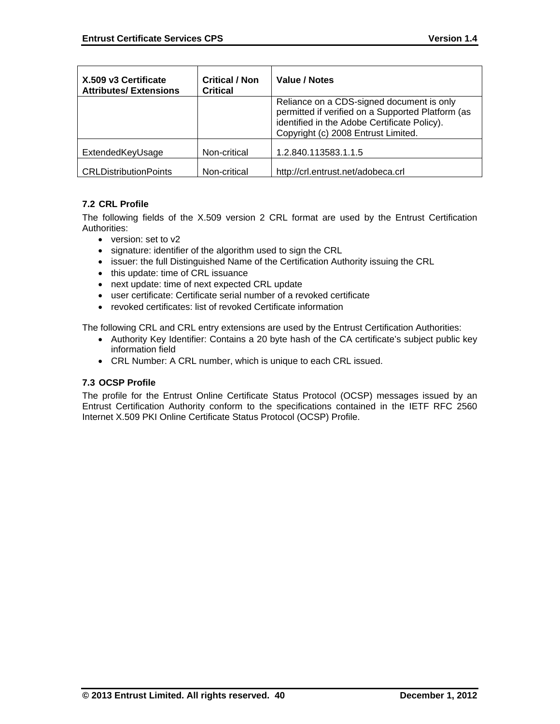| X.509 v3 Certificate<br><b>Attributes/Extensions</b> | <b>Critical / Non</b><br><b>Critical</b> | Value / Notes                                                                                                                                                                         |
|------------------------------------------------------|------------------------------------------|---------------------------------------------------------------------------------------------------------------------------------------------------------------------------------------|
|                                                      |                                          | Reliance on a CDS-signed document is only<br>permitted if verified on a Supported Platform (as<br>identified in the Adobe Certificate Policy).<br>Copyright (c) 2008 Entrust Limited. |
| ExtendedKeyUsage                                     | Non-critical                             | 1.2.840.113583.1.1.5                                                                                                                                                                  |
| <b>CRLDistributionPoints</b>                         | Non-critical                             | http://crl.entrust.net/adobeca.crl                                                                                                                                                    |

# **7.2 CRL Profile**

The following fields of the X.509 version 2 CRL format are used by the Entrust Certification Authorities:

- version: set to v2
- signature: identifier of the algorithm used to sign the CRL
- issuer: the full Distinguished Name of the Certification Authority issuing the CRL
- this update: time of CRL issuance
- next update: time of next expected CRL update
- user certificate: Certificate serial number of a revoked certificate
- revoked certificates: list of revoked Certificate information

The following CRL and CRL entry extensions are used by the Entrust Certification Authorities:

- Authority Key Identifier: Contains a 20 byte hash of the CA certificate's subject public key information field
- CRL Number: A CRL number, which is unique to each CRL issued.

# **7.3 OCSP Profile**

The profile for the Entrust Online Certificate Status Protocol (OCSP) messages issued by an Entrust Certification Authority conform to the specifications contained in the IETF RFC 2560 Internet X.509 PKI Online Certificate Status Protocol (OCSP) Profile.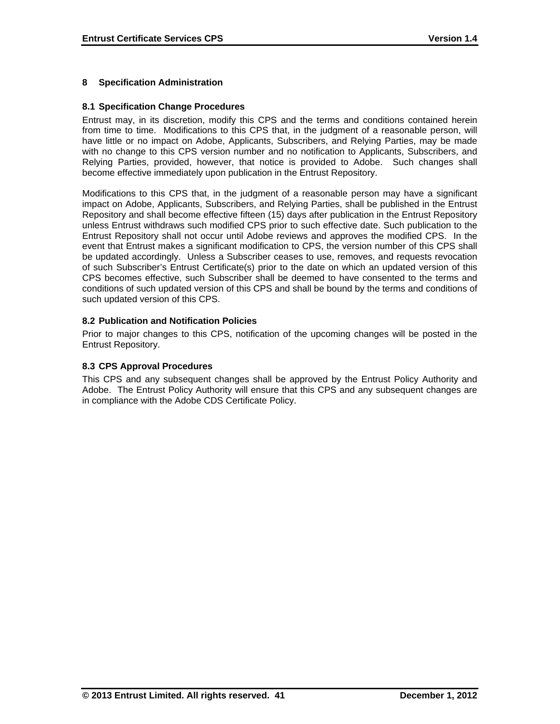# **8 Specification Administration**

#### **8.1 Specification Change Procedures**

Entrust may, in its discretion, modify this CPS and the terms and conditions contained herein from time to time. Modifications to this CPS that, in the judgment of a reasonable person, will have little or no impact on Adobe, Applicants, Subscribers, and Relying Parties, may be made with no change to this CPS version number and no notification to Applicants, Subscribers, and Relying Parties, provided, however, that notice is provided to Adobe. Such changes shall become effective immediately upon publication in the Entrust Repository.

Modifications to this CPS that, in the judgment of a reasonable person may have a significant impact on Adobe, Applicants, Subscribers, and Relying Parties, shall be published in the Entrust Repository and shall become effective fifteen (15) days after publication in the Entrust Repository unless Entrust withdraws such modified CPS prior to such effective date. Such publication to the Entrust Repository shall not occur until Adobe reviews and approves the modified CPS. In the event that Entrust makes a significant modification to CPS, the version number of this CPS shall be updated accordingly. Unless a Subscriber ceases to use, removes, and requests revocation of such Subscriber's Entrust Certificate(s) prior to the date on which an updated version of this CPS becomes effective, such Subscriber shall be deemed to have consented to the terms and conditions of such updated version of this CPS and shall be bound by the terms and conditions of such updated version of this CPS.

#### **8.2 Publication and Notification Policies**

Prior to major changes to this CPS, notification of the upcoming changes will be posted in the Entrust Repository.

#### **8.3 CPS Approval Procedures**

This CPS and any subsequent changes shall be approved by the Entrust Policy Authority and Adobe. The Entrust Policy Authority will ensure that this CPS and any subsequent changes are in compliance with the Adobe CDS Certificate Policy.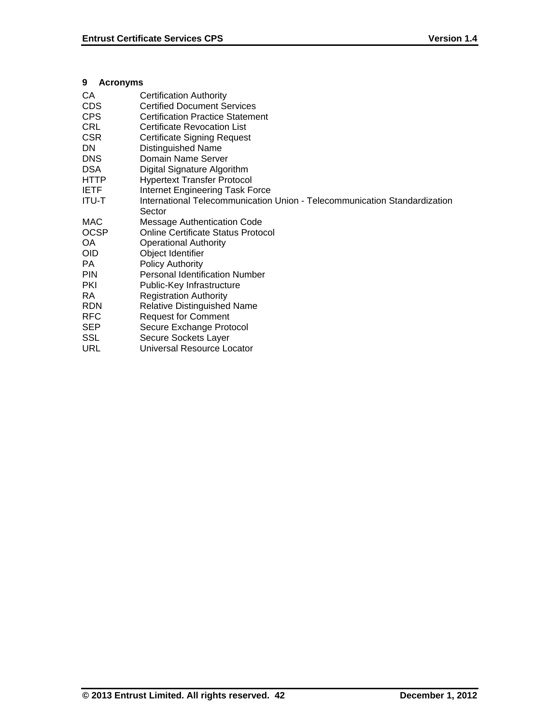# **9 Acronyms**

| CA           | <b>Certification Authority</b>                                            |
|--------------|---------------------------------------------------------------------------|
| <b>CDS</b>   | <b>Certified Document Services</b>                                        |
| <b>CPS</b>   | <b>Certification Practice Statement</b>                                   |
| <b>CRL</b>   | <b>Certificate Revocation List</b>                                        |
| <b>CSR</b>   | <b>Certificate Signing Request</b>                                        |
| <b>DN</b>    | Distinguished Name                                                        |
| <b>DNS</b>   | Domain Name Server                                                        |
| <b>DSA</b>   | Digital Signature Algorithm                                               |
| <b>HTTP</b>  | <b>Hypertext Transfer Protocol</b>                                        |
| <b>IETF</b>  | Internet Engineering Task Force                                           |
| <b>ITU-T</b> | International Telecommunication Union - Telecommunication Standardization |
|              | Sector                                                                    |
| MAC          | <b>Message Authentication Code</b>                                        |
| <b>OCSP</b>  | <b>Online Certificate Status Protocol</b>                                 |
| OA           | <b>Operational Authority</b>                                              |
| <b>OID</b>   | Object Identifier                                                         |
| PA.          | Policy Authority                                                          |
| <b>PIN</b>   | <b>Personal Identification Number</b>                                     |
| <b>PKI</b>   | Public-Key Infrastructure                                                 |
| RA           | <b>Registration Authority</b>                                             |
| <b>RDN</b>   | <b>Relative Distinguished Name</b>                                        |
| <b>RFC</b>   | <b>Request for Comment</b>                                                |
| <b>SEP</b>   | Secure Exchange Protocol                                                  |
| SSL          | Secure Sockets Layer                                                      |
| URL          | Universal Resource Locator                                                |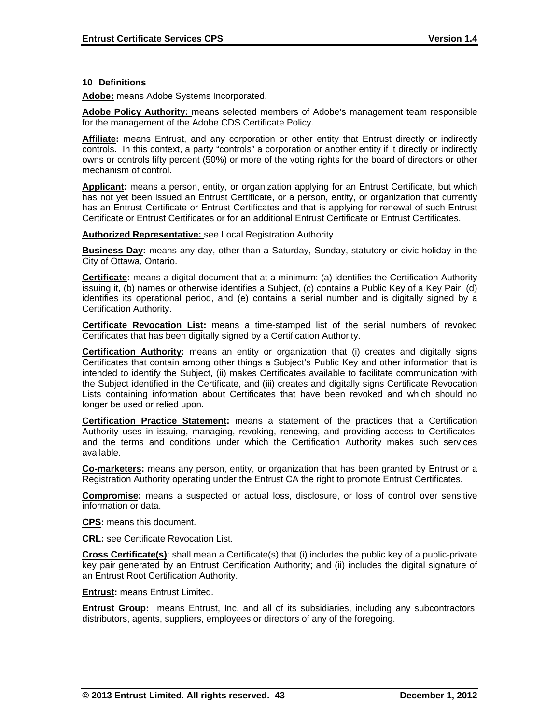#### **10 Definitions**

**Adobe:** means Adobe Systems Incorporated.

**Adobe Policy Authority:** means selected members of Adobe's management team responsible for the management of the Adobe CDS Certificate Policy.

**Affiliate:** means Entrust, and any corporation or other entity that Entrust directly or indirectly controls. In this context, a party "controls" a corporation or another entity if it directly or indirectly owns or controls fifty percent (50%) or more of the voting rights for the board of directors or other mechanism of control.

**Applicant:** means a person, entity, or organization applying for an Entrust Certificate, but which has not yet been issued an Entrust Certificate, or a person, entity, or organization that currently has an Entrust Certificate or Entrust Certificates and that is applying for renewal of such Entrust Certificate or Entrust Certificates or for an additional Entrust Certificate or Entrust Certificates.

#### **Authorized Representative:** see Local Registration Authority

**Business Day:** means any day, other than a Saturday, Sunday, statutory or civic holiday in the City of Ottawa, Ontario.

**Certificate:** means a digital document that at a minimum: (a) identifies the Certification Authority issuing it, (b) names or otherwise identifies a Subject, (c) contains a Public Key of a Key Pair, (d) identifies its operational period, and (e) contains a serial number and is digitally signed by a Certification Authority.

**Certificate Revocation List:** means a time-stamped list of the serial numbers of revoked Certificates that has been digitally signed by a Certification Authority.

**Certification Authority:** means an entity or organization that (i) creates and digitally signs Certificates that contain among other things a Subject's Public Key and other information that is intended to identify the Subject, (ii) makes Certificates available to facilitate communication with the Subject identified in the Certificate, and (iii) creates and digitally signs Certificate Revocation Lists containing information about Certificates that have been revoked and which should no longer be used or relied upon.

**Certification Practice Statement:** means a statement of the practices that a Certification Authority uses in issuing, managing, revoking, renewing, and providing access to Certificates, and the terms and conditions under which the Certification Authority makes such services available.

**Co-marketers:** means any person, entity, or organization that has been granted by Entrust or a Registration Authority operating under the Entrust CA the right to promote Entrust Certificates.

**Compromise:** means a suspected or actual loss, disclosure, or loss of control over sensitive information or data.

**CPS:** means this document.

**CRL:** see Certificate Revocation List.

**Cross Certificate(s)**: shall mean a Certificate(s) that (i) includes the public key of a public-private key pair generated by an Entrust Certification Authority; and (ii) includes the digital signature of an Entrust Root Certification Authority.

**Entrust:** means Entrust Limited.

**Entrust Group:** means Entrust, Inc. and all of its subsidiaries, including any subcontractors, distributors, agents, suppliers, employees or directors of any of the foregoing.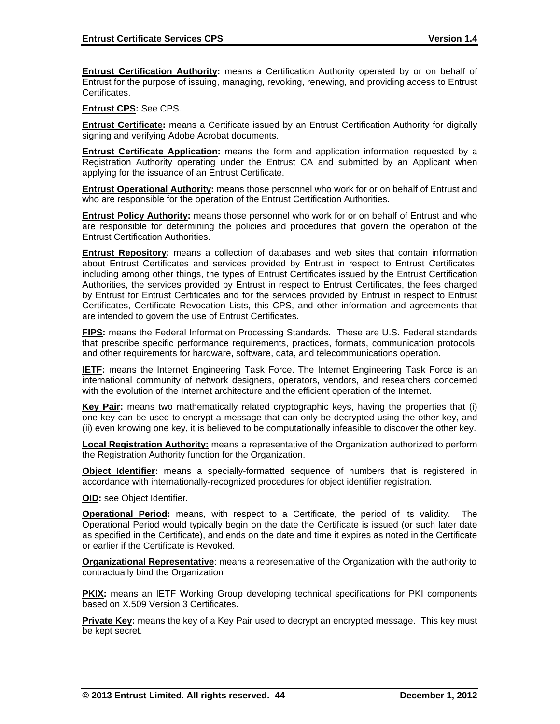**Entrust Certification Authority:** means a Certification Authority operated by or on behalf of Entrust for the purpose of issuing, managing, revoking, renewing, and providing access to Entrust Certificates.

**Entrust CPS:** See CPS.

**Entrust Certificate:** means a Certificate issued by an Entrust Certification Authority for digitally signing and verifying Adobe Acrobat documents.

**Entrust Certificate Application:** means the form and application information requested by a Registration Authority operating under the Entrust CA and submitted by an Applicant when applying for the issuance of an Entrust Certificate.

**Entrust Operational Authority:** means those personnel who work for or on behalf of Entrust and who are responsible for the operation of the Entrust Certification Authorities.

**Entrust Policy Authority:** means those personnel who work for or on behalf of Entrust and who are responsible for determining the policies and procedures that govern the operation of the Entrust Certification Authorities.

**Entrust Repository:** means a collection of databases and web sites that contain information about Entrust Certificates and services provided by Entrust in respect to Entrust Certificates, including among other things, the types of Entrust Certificates issued by the Entrust Certification Authorities, the services provided by Entrust in respect to Entrust Certificates, the fees charged by Entrust for Entrust Certificates and for the services provided by Entrust in respect to Entrust Certificates, Certificate Revocation Lists, this CPS, and other information and agreements that are intended to govern the use of Entrust Certificates.

**FIPS:** means the Federal Information Processing Standards. These are U.S. Federal standards that prescribe specific performance requirements, practices, formats, communication protocols, and other requirements for hardware, software, data, and telecommunications operation.

**IETF:** means the Internet Engineering Task Force. The Internet Engineering Task Force is an international community of network designers, operators, vendors, and researchers concerned with the evolution of the Internet architecture and the efficient operation of the Internet.

**Key Pair:** means two mathematically related cryptographic keys, having the properties that (i) one key can be used to encrypt a message that can only be decrypted using the other key, and (ii) even knowing one key, it is believed to be computationally infeasible to discover the other key.

**Local Registration Authority:** means a representative of the Organization authorized to perform the Registration Authority function for the Organization.

**Object Identifier:** means a specially-formatted sequence of numbers that is registered in accordance with internationally-recognized procedures for object identifier registration.

**OID:** see Object Identifier.

**Operational Period:** means, with respect to a Certificate, the period of its validity. The Operational Period would typically begin on the date the Certificate is issued (or such later date as specified in the Certificate), and ends on the date and time it expires as noted in the Certificate or earlier if the Certificate is Revoked.

**Organizational Representative**: means a representative of the Organization with the authority to contractually bind the Organization

**PKIX:** means an IETF Working Group developing technical specifications for PKI components based on X.509 Version 3 Certificates.

**Private Key:** means the key of a Key Pair used to decrypt an encrypted message. This key must be kept secret.